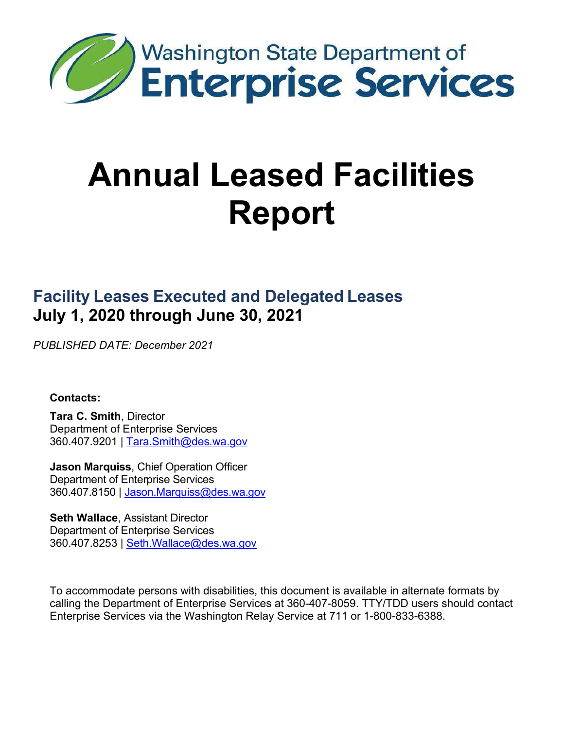

# **Annual Leased Facilities Report**

# **Facility Leases Executed and Delegated Leases July 1, 2020 through June 30, 2021**

*PUBLISHED DATE: December 2021*

#### **Contacts:**

**Tara C. Smith**, Director Department of Enterprise Services 360.407.9201 | [Tara.Smith@des.wa.gov](mailto:Tara.Smith@des.wa.gov)

**Jason Marquiss**, Chief Operation Officer Department of Enterprise Services 360.407.8150 | [Jason.Marquiss@des.wa.gov](mailto:jason.marquiss@des.wa.gov)

**Seth Wallace**, Assistant Director Department of Enterprise Services 360.407.8253 | [Seth.Wallace@des.wa.gov](mailto:Seth.Wallace@des.wa.gov)

To accommodate persons with disabilities, this document is available in alternate formats by calling the Department of Enterprise Services at 360-407-8059. TTY/TDD users should contact Enterprise Services via the Washington Relay Service at 711 or 1-800-833-6388.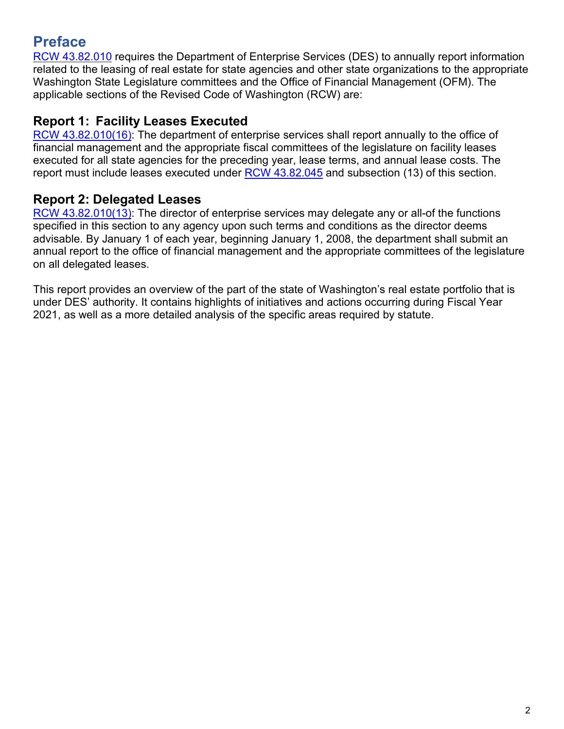## <span id="page-1-0"></span>**Preface**

[RCW 43.82.010](http://apps.leg.wa.gov/rcw/default.aspx?cite=43.82.010) requires the Department of Enterprise Services (DES) to annually report information related to the leasing of real estate for state agencies and other state organizations to the appropriate Washington State Legislature committees and the Office of Financial Management (OFM). The applicable sections of the Revised Code of Washington (RCW) are:

#### **Report 1: Facility Leases Executed**

[RCW 43.82.010\(16\):](http://apps.leg.wa.gov/rcw/default.aspx?cite=43.82.010) The department of enterprise services shall report annually to the office of financial management and the appropriate fiscal committees of the legislature on facility leases executed for all state agencies for the preceding year, lease terms, and annual lease costs. The report must include leases executed under [RCW 43.82.045](http://apps.leg.wa.gov/rcw/default.aspx?cite=43.82.045) and subsection (13) of this section.

#### **Report 2: Delegated Leases**

[RCW 43.82.010\(13\):](http://apps.leg.wa.gov/rcw/default.aspx?cite=43.82.010) The director of enterprise services may delegate any or all-of the functions specified in this section to any agency upon such terms and conditions as the director deems advisable. By January 1 of each year, beginning January 1, 2008, the department shall submit an annual report to the office of financial management and the appropriate committees of the legislature on all delegated leases.

This report provides an overview of the part of the state of Washington's real estate portfolio that is under DES' authority. It contains highlights of initiatives and actions occurring during Fiscal Year 2021, as well as a more detailed analysis of the specific areas required by statute.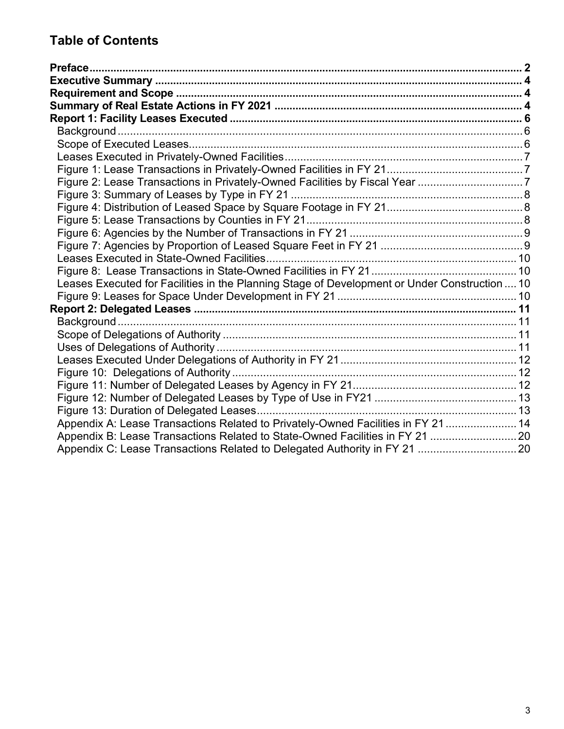## **Table of Contents**

| Figure 2: Lease Transactions in Privately-Owned Facilities by Fiscal Year 7                   |  |
|-----------------------------------------------------------------------------------------------|--|
|                                                                                               |  |
|                                                                                               |  |
|                                                                                               |  |
|                                                                                               |  |
|                                                                                               |  |
|                                                                                               |  |
|                                                                                               |  |
| Leases Executed for Facilities in the Planning Stage of Development or Under Construction  10 |  |
|                                                                                               |  |
|                                                                                               |  |
|                                                                                               |  |
|                                                                                               |  |
|                                                                                               |  |
|                                                                                               |  |
|                                                                                               |  |
|                                                                                               |  |
|                                                                                               |  |
|                                                                                               |  |
| Appendix A: Lease Transactions Related to Privately-Owned Facilities in FY 21  14             |  |
| Appendix B: Lease Transactions Related to State-Owned Facilities in FY 21  20                 |  |
|                                                                                               |  |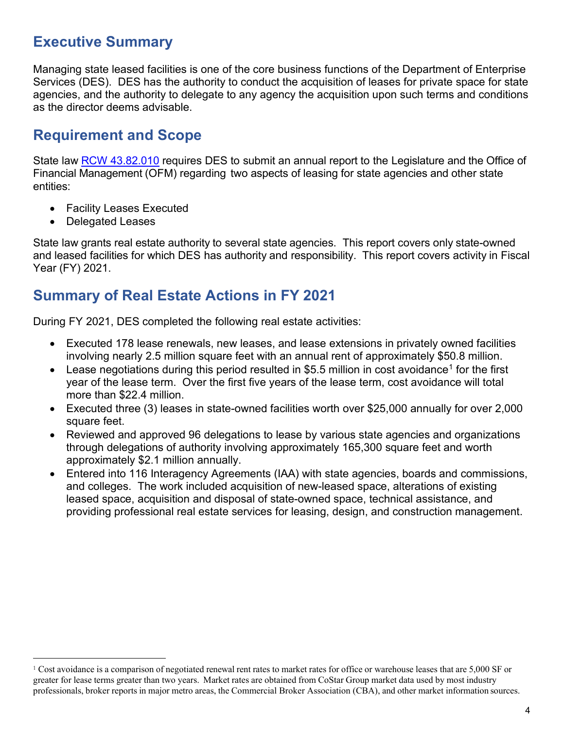## <span id="page-3-0"></span>**Executive Summary**

Managing state leased facilities is one of the core business functions of the Department of Enterprise Services (DES). DES has the authority to conduct the acquisition of leases for private space for state agencies, and the authority to delegate to any agency the acquisition upon such terms and conditions as the director deems advisable.

## <span id="page-3-1"></span>**Requirement and Scope**

State law RCW [43.82.010](http://apps.leg.wa.gov/RCW/default.aspx?Cite=43.82.010) requires DES to submit an annual report to the Legislature and the Office of Financial Management (OFM) regarding two aspects of leasing for state agencies and other state entities:

- Facility Leases Executed
- Delegated Leases

State law grants real estate authority to several state agencies. This report covers only state-owned and leased facilities for which DES has authority and responsibility. This report covers activity in Fiscal Year (FY) 2021.

## <span id="page-3-2"></span>**Summary of Real Estate Actions in FY 2021**

During FY 2021, DES completed the following real estate activities:

- Executed 178 lease renewals, new leases, and lease extensions in privately owned facilities involving nearly 2.5 million square feet with an annual rent of approximately \$50.8 million.
- Lease negotiations during this period resulted in \$5.5 million in cost avoidance<sup>1</sup> for the first year of the lease term. Over the first five years of the lease term, cost avoidance will total more than \$22.4 million.
- Executed three (3) leases in state-owned facilities worth over \$25,000 annually for over 2,000 square feet.
- Reviewed and approved 96 delegations to lease by various state agencies and organizations through delegations of authority involving approximately 165,300 square feet and worth approximately \$2.1 million annually.
- Entered into 116 Interagency Agreements (IAA) with state agencies, boards and commissions, and colleges. The work included acquisition of new-leased space, alterations of existing leased space, acquisition and disposal of state-owned space, technical assistance, and providing professional real estate services for leasing, design, and construction management.

<span id="page-3-3"></span> $1$  Cost avoidance is a comparison of negotiated renewal rent rates to market rates for office or warehouse leases that are 5,000 SF or greater for lease terms greater than two years. Market rates are obtained from CoStar Group market data used by most industry professionals, broker reports in major metro areas, the Commercial Broker Association (CBA), and other market information sources.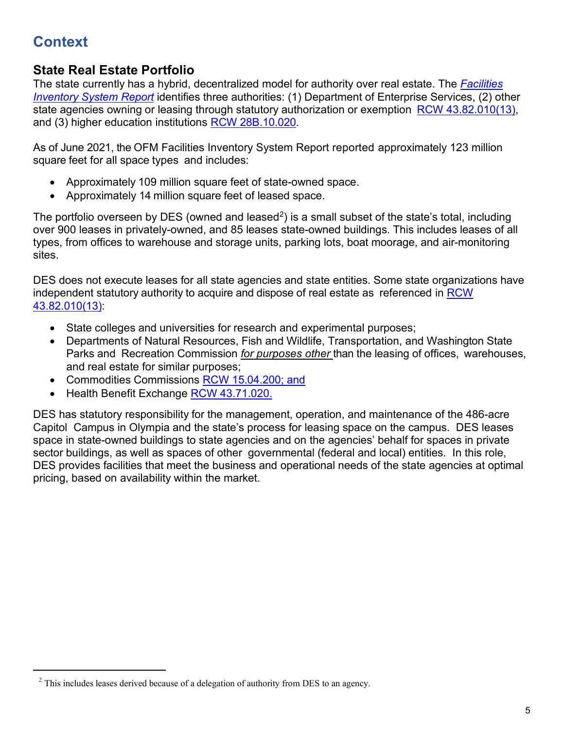# **Context**

#### **State Real Estate Portfolio**

The state currently has a hybrid, decentralized model for authority over real estate. The *[Facilities](https://ofm.wa.gov/sites/default/files/public/legacy/budget/facilities/documents/FacilitiesInventorySystem2017FinalReport.pdf) [Inventory](https://ofm.wa.gov/sites/default/files/public/legacy/budget/facilities/documents/FacilitiesInventorySystem2017FinalReport.pdf) System Report* identifies three authorities: (1) Department of Enterprise Services, (2) other state agencies owning or leasing through statutory authorization or exemption RCW [43.82.010\(13\),](http://apps.leg.wa.gov/rcw/default.aspx?cite=43.82.010) and (3) higher education institutions RCW [28B.10.020.](http://apps.leg.wa.gov/rcw/default.aspx?cite=28B.10.020)

As of June 2021, the OFM Facilities Inventory System Report reported approximately 123 million square feet for all space types and includes:

- Approximately 109 million square feet of state-owned space.
- Approximately 14 million square feet of leased space.

The portfolio overseen by DES (owned and leased<sup>[2](#page-4-0)</sup>) is a small subset of the state's total, including over 900 leases in privately-owned, and 85 leases state-owned buildings. This includes leases of all types, from offices to warehouse and storage units, parking lots, boat moorage, and air-monitoring sites.

DES does not execute leases for all state agencies and state entities. Some state organizations have independent statutory authority to acquire and dispose of real estate as referenced in [RCW](http://apps.leg.wa.gov/rcw/default.aspx?cite=43.82.010) [43.82.010\(13\):](http://apps.leg.wa.gov/rcw/default.aspx?cite=43.82.010)

- State colleges and universities for research and experimental purposes;
- Departments of Natural Resources, Fish and Wildlife, Transportation, and Washington State Parks and Recreation Commission *for purposes other* than the leasing of offices, warehouses, and real estate for similar purposes;
- Commodities Commissions [RCW 15.04.200;](http://apps.leg.wa.gov/rcw/default.aspx?cite=15.04.200) and
- Health Benefit Exchange RCW [43.71.020.](http://app.leg.wa.gov/rcw/default.aspx?cite=43.71.020)

DES has statutory responsibility for the management, operation, and maintenance of the 486-acre Capitol Campus in Olympia and the state's process for leasing space on the campus. DES leases space in state-owned buildings to state agencies and on the agencies' behalf for spaces in private sector buildings, as well as spaces of other governmental (federal and local) entities. In this role, DES provides facilities that meet the business and operational needs of the state agencies at optimal pricing, based on availability within the market.

<span id="page-4-0"></span> $2$  This includes leases derived because of a delegation of authority from DES to an agency.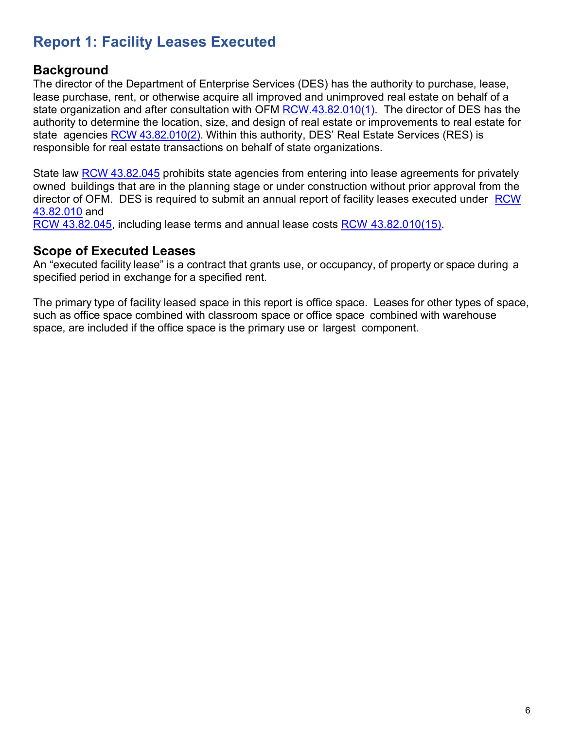## <span id="page-5-0"></span>**Report 1: Facility Leases Executed**

#### <span id="page-5-1"></span>**Background**

The director of the Department of Enterprise Services (DES) has the authority to purchase, lease, lease purchase, rent, or otherwise acquire all improved and unimproved real estate on behalf of a state organization and after consultation with OFM [RCW.43.82.010\(1\).](http://apps.leg.wa.gov/RCW/default.aspx?Cite=43.82.010) The director of DES has the authority to determine the location, size, and design of real estate or improvements to real estate for state agencies RCW [43.82.010\(2\).](http://apps.leg.wa.gov/RCW/default.aspx?Cite=43.82.010) Within this authority, DES' Real Estate Services (RES) is responsible for real estate transactions on behalf of state organizations.

State law [RCW 43.82.045](http://apps.leg.wa.gov/rcw/default.aspx?cite=43.82.045) prohibits state agencies from entering into lease agreements for privately owned buildings that are in the planning stage or under construction without prior approval from the director of OFM. DES is required to submit an annual report of facility leases executed under [RCW](http://apps.leg.wa.gov/RCW/default.aspx?Cite=43.82.010) [43.82.010](http://apps.leg.wa.gov/RCW/default.aspx?Cite=43.82.010) and

RCW [43.82.045,](http://apps.leg.wa.gov/rcw/default.aspx?cite=43.82.045) including lease terms and annual lease costs RCW [43.82.010\(15\).](http://apps.leg.wa.gov/RCW/default.aspx?Cite=43.82.010)

#### <span id="page-5-2"></span>**Scope of Executed Leases**

An "executed facility lease" is a contract that grants use, or occupancy, of property or space during a specified period in exchange for a specified rent.

The primary type of facility leased space in this report is office space. Leases for other types of space, such as office space combined with classroom space or office space combined with warehouse space, are included if the office space is the primary use or largest component.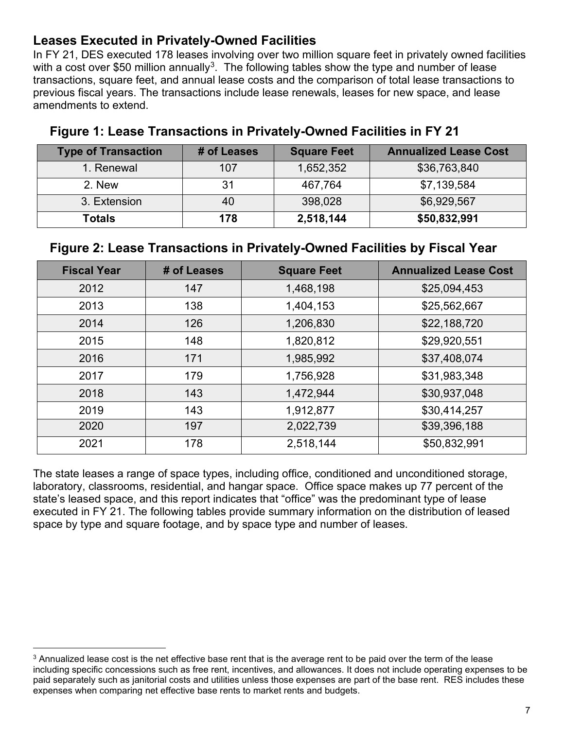#### <span id="page-6-0"></span>**Leases Executed in Privately-Owned Facilities**

In FY 21, DES executed 178 leases involving over two million square feet in privately owned facilities with a cost over \$50 million annually<sup>[3](#page-6-3)</sup>. The following tables show the type and number of lease transactions, square feet, and annual lease costs and the comparison of total lease transactions to previous fiscal years. The transactions include lease renewals, leases for new space, and lease amendments to extend.

| <b>Type of Transaction</b> | # of Leases | <b>Square Feet</b> | <b>Annualized Lease Cost</b> |
|----------------------------|-------------|--------------------|------------------------------|
| 1. Renewal                 | 107         | 1,652,352          | \$36,763,840                 |
| 2. New                     | 31          | 467,764            | \$7,139,584                  |
| 3. Extension               | 40          | 398,028            | \$6,929,567                  |
| <b>Totals</b>              | 178         | 2,518,144          | \$50,832,991                 |

#### <span id="page-6-1"></span>**Figure 1: Lease Transactions in Privately-Owned Facilities in FY 21**

#### <span id="page-6-2"></span>**Figure 2: Lease Transactions in Privately-Owned Facilities by Fiscal Year**

| <b>Fiscal Year</b> | # of Leases | <b>Square Feet</b> | <b>Annualized Lease Cost</b> |
|--------------------|-------------|--------------------|------------------------------|
| 2012               | 147         | 1,468,198          | \$25,094,453                 |
| 2013               | 138         | 1,404,153          | \$25,562,667                 |
| 2014               | 126         | 1,206,830          | \$22,188,720                 |
| 2015               | 148         | 1,820,812          | \$29,920,551                 |
| 2016               | 171         | 1,985,992          | \$37,408,074                 |
| 2017               | 179         | 1,756,928          | \$31,983,348                 |
| 2018               | 143         | 1,472,944          | \$30,937,048                 |
| 2019               | 143         | 1,912,877          | \$30,414,257                 |
| 2020               | 197         | 2,022,739          | \$39,396,188                 |
| 2021               | 178         | 2,518,144          | \$50,832,991                 |

The state leases a range of space types, including office, conditioned and unconditioned storage, laboratory, classrooms, residential, and hangar space. Office space makes up 77 percent of the state's leased space, and this report indicates that "office" was the predominant type of lease executed in FY 21. The following tables provide summary information on the distribution of leased space by type and square footage, and by space type and number of leases.

<span id="page-6-3"></span><sup>3</sup> Annualized lease cost is the net effective base rent that is the average rent to be paid over the term of the lease including specific concessions such as free rent, incentives, and allowances. It does not include operating expenses to be paid separately such as janitorial costs and utilities unless those expenses are part of the base rent. RES includes these expenses when comparing net effective base rents to market rents and budgets.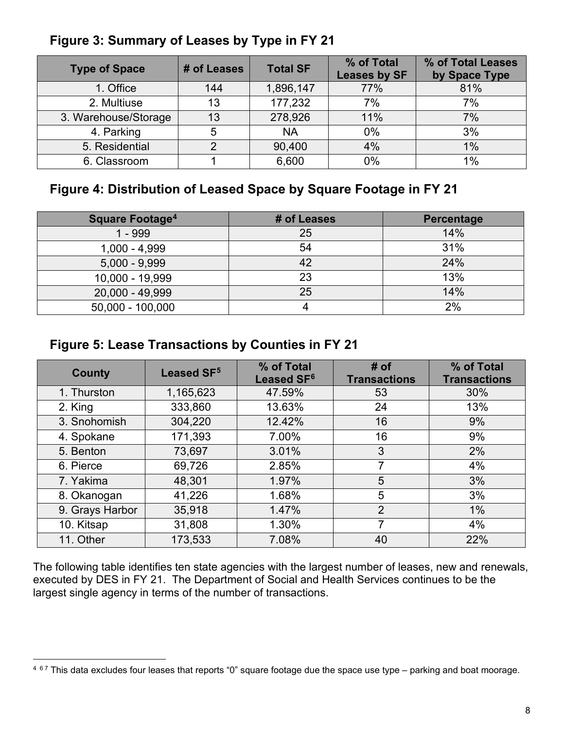| <b>Type of Space</b> | # of Leases | <b>Total SF</b> | % of Total<br>Leases by SF | % of Total Leases<br>by Space Type |
|----------------------|-------------|-----------------|----------------------------|------------------------------------|
| 1. Office            | 144         | 1,896,147       | 77%                        | 81%                                |
| 2. Multiuse          | 13          | 177,232         | 7%                         | 7%                                 |
| 3. Warehouse/Storage | 13          | 278,926         | 11%                        | 7%                                 |
| 4. Parking           | 5           | <b>NA</b>       | 0%                         | 3%                                 |
| 5. Residential       | ⌒           | 90,400          | 4%                         | 1%                                 |
| 6. Classroom         |             | 6,600           | 0%                         | 1%                                 |

#### <span id="page-7-0"></span>**Figure 3: Summary of Leases by Type in FY 21**

## <span id="page-7-1"></span>**Figure 4: Distribution of Leased Space by Square Footage in FY 21**

| <b>Square Footage<sup>4</sup></b> | # of Leases | Percentage |
|-----------------------------------|-------------|------------|
| 1 - 999                           | 25          | 14%        |
| $1,000 - 4,999$                   | 54          | 31%        |
| $5,000 - 9,999$                   | 42          | 24%        |
| 10,000 - 19,999                   | 23          | 13%        |
| 20,000 - 49,999                   | 25          | 14%        |
| 50,000 - 100,000                  |             | 2%         |

## <span id="page-7-2"></span>**Figure 5: Lease Transactions by Counties in FY 21**

| <b>County</b>   | Leased SF <sup>5</sup> | % of Total<br>Leased SF <sup>6</sup> | # of<br><b>Transactions</b> | % of Total<br><b>Transactions</b> |
|-----------------|------------------------|--------------------------------------|-----------------------------|-----------------------------------|
| 1. Thurston     | 1,165,623              | 47.59%                               | 53                          | 30%                               |
| 2. King         | 333,860                | 13.63%                               | 24                          | 13%                               |
| 3. Snohomish    | 304,220                | 12.42%                               | 16                          | 9%                                |
| 4. Spokane      | 171,393                | 7.00%                                | 16                          | 9%                                |
| 5. Benton       | 73,697                 | 3.01%                                | 3                           | 2%                                |
| 6. Pierce       | 69,726                 | 2.85%                                | 7                           | 4%                                |
| 7. Yakima       | 48,301                 | 1.97%                                | 5                           | 3%                                |
| 8. Okanogan     | 41,226                 | 1.68%                                | 5                           | 3%                                |
| 9. Grays Harbor | 35,918                 | 1.47%                                | $\overline{2}$              | 1%                                |
| 10. Kitsap      | 31,808                 | 1.30%                                | 7                           | 4%                                |
| 11. Other       | 173,533                | 7.08%                                | 40                          | 22%                               |

The following table identifies ten state agencies with the largest number of leases, new and renewals, executed by DES in FY 21. The Department of Social and Health Services continues to be the largest single agency in terms of the number of transactions.

<span id="page-7-5"></span><span id="page-7-4"></span><span id="page-7-3"></span><sup>&</sup>lt;sup>4 67</sup> This data excludes four leases that reports "0" square footage due the space use type – parking and boat moorage.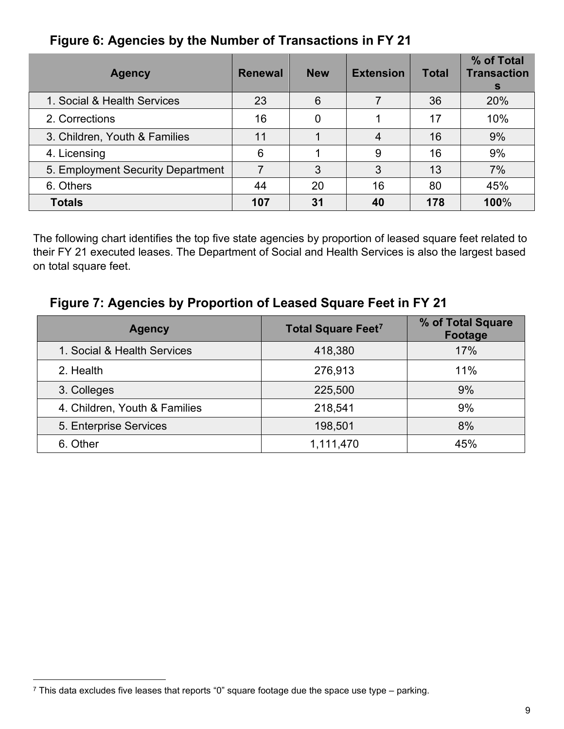## <span id="page-8-0"></span>**Figure 6: Agencies by the Number of Transactions in FY 21**

| <b>Agency</b>                     | <b>Renewal</b> | <b>New</b> | <b>Extension</b> | <b>Total</b> | % of Total<br><b>Transaction</b><br><sub>S</sub> |
|-----------------------------------|----------------|------------|------------------|--------------|--------------------------------------------------|
| 1. Social & Health Services       | 23             | 6          |                  | 36           | 20%                                              |
| 2. Corrections                    | 16             | 0          |                  | 17           | 10%                                              |
| 3. Children, Youth & Families     | 11             |            | 4                | 16           | 9%                                               |
| 4. Licensing                      | 6              |            | 9                | 16           | 9%                                               |
| 5. Employment Security Department | 7              | 3          | 3                | 13           | 7%                                               |
| 6. Others                         | 44             | 20         | 16               | 80           | 45%                                              |
| <b>Totals</b>                     | 107            | 31         | 40               | 178          | 100%                                             |

The following chart identifies the top five state agencies by proportion of leased square feet related to their FY 21 executed leases. The Department of Social and Health Services is also the largest based on total square feet.

#### <span id="page-8-1"></span>**Figure 7: Agencies by Proportion of Leased Square Feet in FY 21**

| <b>Agency</b>                 | <b>Total Square Feet<sup>7</sup></b> | % of Total Square<br>Footage |
|-------------------------------|--------------------------------------|------------------------------|
| 1. Social & Health Services   | 418,380                              | 17%                          |
| 2. Health                     | 276,913                              | 11%                          |
| 3. Colleges                   | 225,500                              | 9%                           |
| 4. Children, Youth & Families | 218,541                              | 9%                           |
| 5. Enterprise Services        | 198,501                              | 8%                           |
| 6. Other                      | 1,111,470                            | 45%                          |

<span id="page-8-2"></span> $7$  This data excludes five leases that reports "0" square footage due the space use type – parking.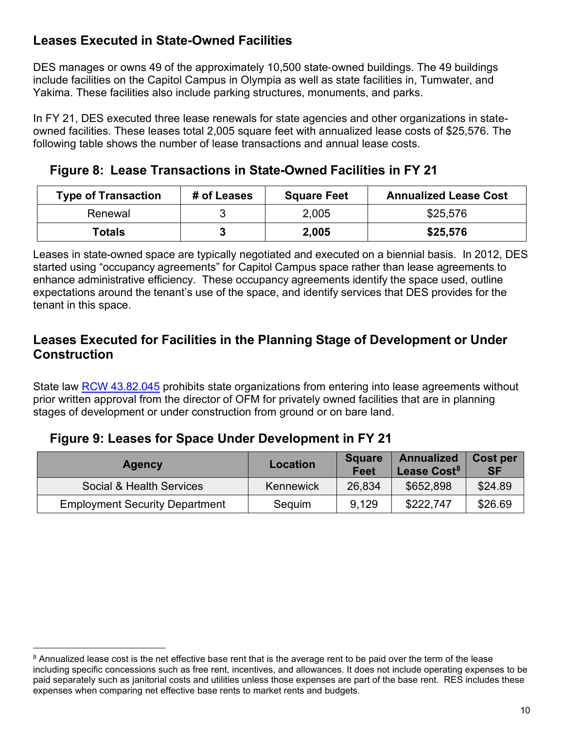## <span id="page-9-0"></span>**Leases Executed in State-Owned Facilities**

DES manages or owns 49 of the approximately 10,500 state-owned buildings. The 49 buildings include facilities on the Capitol Campus in Olympia as well as state facilities in, Tumwater, and Yakima. These facilities also include parking structures, monuments, and parks.

In FY 21, DES executed three lease renewals for state agencies and other organizations in stateowned facilities. These leases total 2,005 square feet with annualized lease costs of \$25,576. The following table shows the number of lease transactions and annual lease costs.

<span id="page-9-1"></span>**Figure 8: Lease Transactions in State-Owned Facilities in FY 21**

| <b>Type of Transaction</b> | # of Leases | <b>Square Feet</b> | <b>Annualized Lease Cost</b> |
|----------------------------|-------------|--------------------|------------------------------|
| Renewal                    |             | 2,005              | \$25,576                     |
| Totals                     |             | 2,005              | \$25,576                     |

Leases in state-owned space are typically negotiated and executed on a biennial basis. In 2012, DES started using "occupancy agreements" for Capitol Campus space rather than lease agreements to enhance administrative efficiency. These occupancy agreements identify the space used, outline expectations around the tenant's use of the space, and identify services that DES provides for the tenant in this space.

#### <span id="page-9-2"></span>**Leases Executed for Facilities in the Planning Stage of Development or Under Construction**

State law [RCW 43.82.045](http://apps.leg.wa.gov/rcw/default.aspx?cite=43.82.045) prohibits state organizations from entering into lease agreements without prior written approval from the director of OFM for privately owned facilities that are in planning stages of development or under construction from ground or on bare land.

#### <span id="page-9-3"></span>**Figure 9: Leases for Space Under Development in FY 21**

| <b>Agency</b>                         | Location  | <b>Square</b><br>Feet | <b>Annualized</b><br>Lease Cost <sup>8</sup> | <b>Cost per</b><br><b>SF</b> |
|---------------------------------------|-----------|-----------------------|----------------------------------------------|------------------------------|
| Social & Health Services              | Kennewick | 26,834                | \$652,898                                    | \$24.89                      |
| <b>Employment Security Department</b> | Sequim    | 9,129                 | \$222,747                                    | \$26.69                      |

<span id="page-9-4"></span><sup>&</sup>lt;sup>8</sup> Annualized lease cost is the net effective base rent that is the average rent to be paid over the term of the lease including specific concessions such as free rent, incentives, and allowances. It does not include operating expenses to be paid separately such as janitorial costs and utilities unless those expenses are part of the base rent. RES includes these expenses when comparing net effective base rents to market rents and budgets.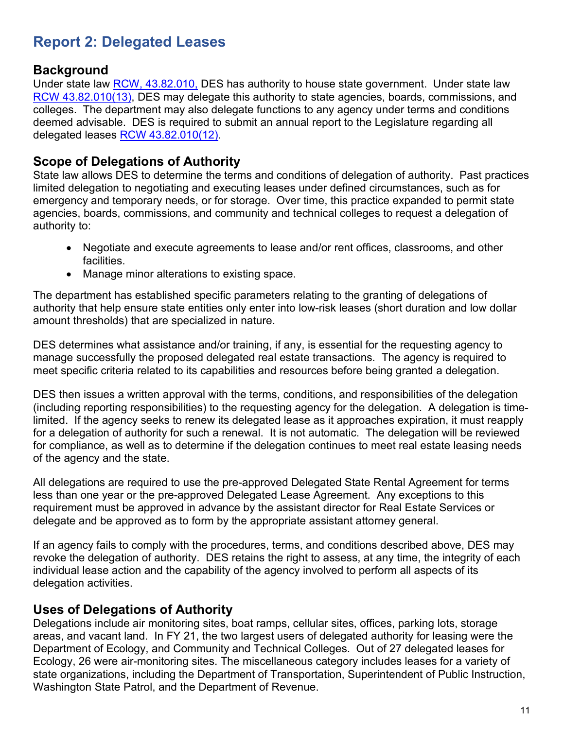## <span id="page-10-0"></span>**Report 2: Delegated Leases**

#### <span id="page-10-1"></span>**Background**

Under state law RCW, [43.82.010,](http://apps.leg.wa.gov/rcw/default.aspx?cite=43.82.010) DES has authority to house state government. Under state law [RCW 43.82.010\(13\),](http://apps.leg.wa.gov/rcw/default.aspx?cite=43.82.010) DES may delegate this authority to state agencies, boards, commissions, and colleges. The department may also delegate functions to any agency under terms and conditions deemed advisable. DES is required to submit an annual report to the Legislature regarding all delegated leases [RCW 43.82.010\(12\).](http://apps.leg.wa.gov/rcw/default.aspx?cite=43.82.010)

#### <span id="page-10-2"></span>**Scope of Delegations of Authority**

State law allows DES to determine the terms and conditions of delegation of authority. Past practices limited delegation to negotiating and executing leases under defined circumstances, such as for emergency and temporary needs, or for storage. Over time, this practice expanded to permit state agencies, boards, commissions, and community and technical colleges to request a delegation of authority to:

- Negotiate and execute agreements to lease and/or rent offices, classrooms, and other facilities.
- Manage minor alterations to existing space.

The department has established specific parameters relating to the granting of delegations of authority that help ensure state entities only enter into low-risk leases (short duration and low dollar amount thresholds) that are specialized in nature.

DES determines what assistance and/or training, if any, is essential for the requesting agency to manage successfully the proposed delegated real estate transactions. The agency is required to meet specific criteria related to its capabilities and resources before being granted a delegation.

DES then issues a written approval with the terms, conditions, and responsibilities of the delegation (including reporting responsibilities) to the requesting agency for the delegation. A delegation is timelimited. If the agency seeks to renew its delegated lease as it approaches expiration, it must reapply for a delegation of authority for such a renewal. It is not automatic. The delegation will be reviewed for compliance, as well as to determine if the delegation continues to meet real estate leasing needs of the agency and the state.

All delegations are required to use the pre-approved Delegated State Rental Agreement for terms less than one year or the pre-approved Delegated Lease Agreement. Any exceptions to this requirement must be approved in advance by the assistant director for Real Estate Services or delegate and be approved as to form by the appropriate assistant attorney general.

If an agency fails to comply with the procedures, terms, and conditions described above, DES may revoke the delegation of authority. DES retains the right to assess, at any time, the integrity of each individual lease action and the capability of the agency involved to perform all aspects of its delegation activities.

#### <span id="page-10-3"></span>**Uses of Delegations of Authority**

Delegations include air monitoring sites, boat ramps, cellular sites, offices, parking lots, storage areas, and vacant land. In FY 21, the two largest users of delegated authority for leasing were the Department of Ecology, and Community and Technical Colleges. Out of 27 delegated leases for Ecology, 26 were air-monitoring sites. The miscellaneous category includes leases for a variety of state organizations, including the Department of Transportation, Superintendent of Public Instruction, Washington State Patrol, and the Department of Revenue.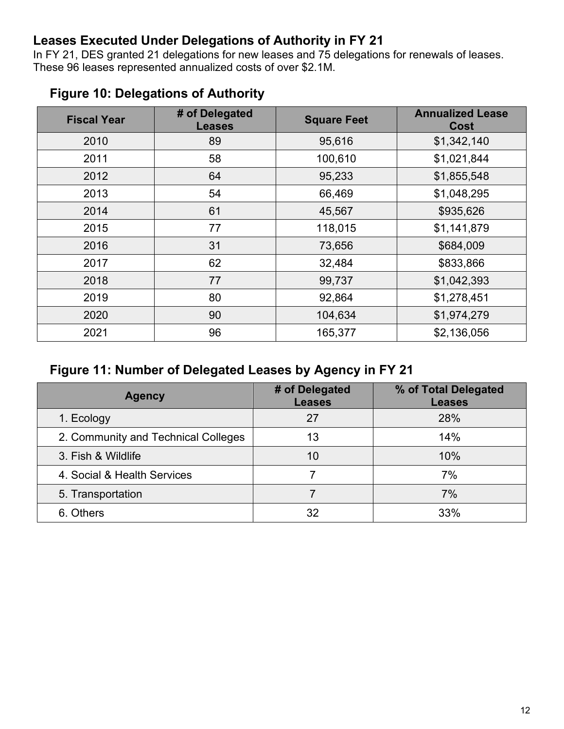#### <span id="page-11-0"></span>**Leases Executed Under Delegations of Authority in FY 21**

In FY 21, DES granted 21 delegations for new leases and 75 delegations for renewals of leases. These 96 leases represented annualized costs of over \$2.1M.

| <b>Fiscal Year</b> | # of Delegated<br><b>Leases</b> | <b>Square Feet</b> | <b>Annualized Lease</b><br>Cost |
|--------------------|---------------------------------|--------------------|---------------------------------|
| 2010               | 89                              | 95,616             | \$1,342,140                     |
| 2011               | 58                              | 100,610            | \$1,021,844                     |
| 2012               | 64                              | 95,233             | \$1,855,548                     |
| 2013               | 54                              | 66,469             | \$1,048,295                     |
| 2014               | 61                              | 45,567             | \$935,626                       |
| 2015               | 77                              | 118,015            | \$1,141,879                     |
| 2016               | 31                              | 73,656             | \$684,009                       |
| 2017               | 62                              | 32,484             | \$833,866                       |
| 2018               | 77                              | 99,737             | \$1,042,393                     |
| 2019               | 80                              | 92,864             | \$1,278,451                     |
| 2020               | 90                              | 104,634            | \$1,974,279                     |
| 2021               | 96                              | 165,377            | \$2,136,056                     |

### <span id="page-11-1"></span>**Figure 10: Delegations of Authority**

#### <span id="page-11-2"></span>**Figure 11: Number of Delegated Leases by Agency in FY 21**

| <b>Agency</b>                       | # of Delegated<br><b>Leases</b> | % of Total Delegated<br><b>Leases</b> |
|-------------------------------------|---------------------------------|---------------------------------------|
| 1. Ecology                          | 27                              | 28%                                   |
| 2. Community and Technical Colleges | 13                              | 14%                                   |
| 3. Fish & Wildlife                  | 10                              | 10%                                   |
| 4. Social & Health Services         |                                 | 7%                                    |
| 5. Transportation                   |                                 | 7%                                    |
| 6. Others                           | 32                              | 33%                                   |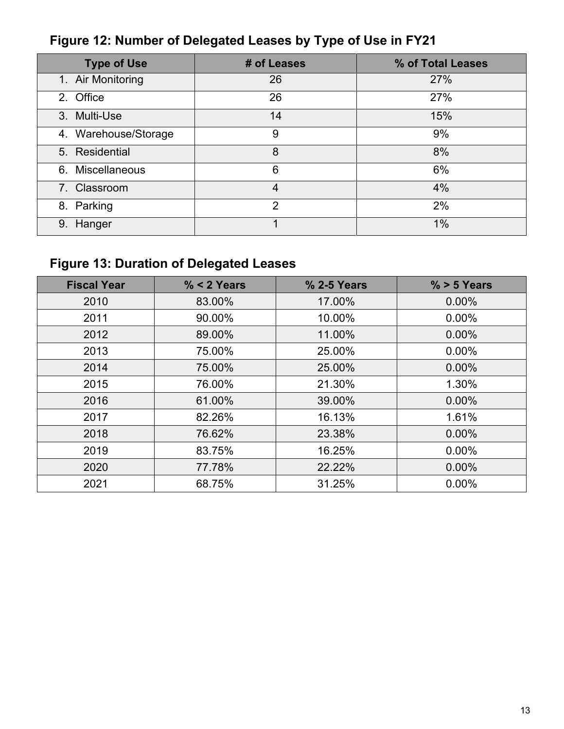| <b>Type of Use</b>   | # of Leases    | % of Total Leases |
|----------------------|----------------|-------------------|
| 1. Air Monitoring    | 26             | 27%               |
| 2. Office            | 26             | 27%               |
| 3. Multi-Use         | 14             | 15%               |
| 4. Warehouse/Storage | 9              | 9%                |
| 5. Residential       | 8              | 8%                |
| 6. Miscellaneous     | 6              | 6%                |
| 7. Classroom         | $\overline{4}$ | 4%                |
| 8. Parking           | $\overline{2}$ | 2%                |
| 9. Hanger            |                | 1%                |

# <span id="page-12-0"></span>**Figure 12: Number of Delegated Leases by Type of Use in FY21**

# <span id="page-12-1"></span>**Figure 13: Duration of Delegated Leases**

| <b>Fiscal Year</b> | $% < 2$ Years | % 2-5 Years | $% > 5$ Years |
|--------------------|---------------|-------------|---------------|
| 2010               | 83.00%        | 17.00%      | 0.00%         |
| 2011               | 90.00%        | 10.00%      | 0.00%         |
| 2012               | 89.00%        | 11.00%      | $0.00\%$      |
| 2013               | 75.00%        | 25.00%      | 0.00%         |
| 2014               | 75.00%        | 25.00%      | 0.00%         |
| 2015               | 76.00%        | 21.30%      | 1.30%         |
| 2016               | 61.00%        | 39.00%      | $0.00\%$      |
| 2017               | 82.26%        | 16.13%      | 1.61%         |
| 2018               | 76.62%        | 23.38%      | 0.00%         |
| 2019               | 83.75%        | 16.25%      | $0.00\%$      |
| 2020               | 77.78%        | 22.22%      | 0.00%         |
| 2021               | 68.75%        | 31.25%      | 0.00%         |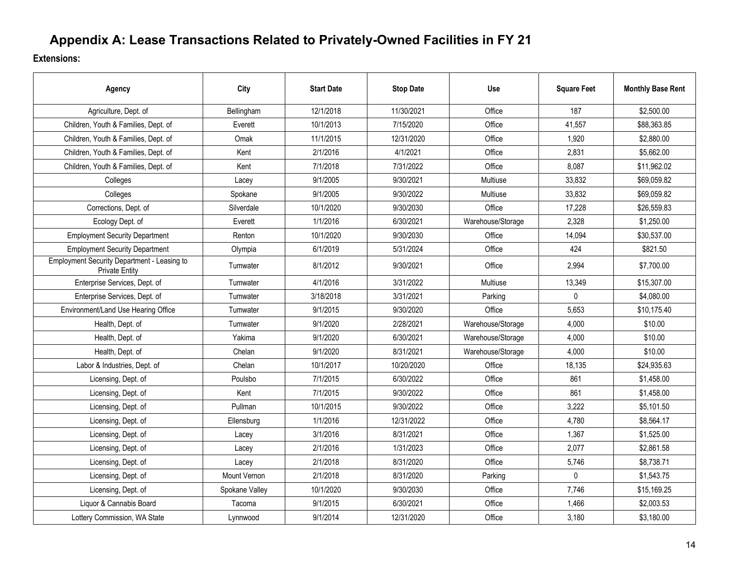## **Appendix A: Lease Transactions Related to Privately-Owned Facilities in FY 21**

**Extensions:**

<span id="page-13-0"></span>

| Agency                                                               | City           | <b>Start Date</b> | <b>Stop Date</b> | <b>Use</b>        | <b>Square Feet</b> | <b>Monthly Base Rent</b> |
|----------------------------------------------------------------------|----------------|-------------------|------------------|-------------------|--------------------|--------------------------|
| Agriculture, Dept. of                                                | Bellingham     | 12/1/2018         | 11/30/2021       | Office            | 187                | \$2,500.00               |
| Children, Youth & Families, Dept. of                                 | Everett        | 10/1/2013         | 7/15/2020        | Office            | 41,557             | \$88,363.85              |
| Children, Youth & Families, Dept. of                                 | Omak           | 11/1/2015         | 12/31/2020       | Office            | 1,920              | \$2,880.00               |
| Children, Youth & Families, Dept. of                                 | Kent           | 2/1/2016          | 4/1/2021         | Office            | 2,831              | \$5,662.00               |
| Children, Youth & Families, Dept. of                                 | Kent           | 7/1/2018          | 7/31/2022        | Office            | 8,087              | \$11,962.02              |
| Colleges                                                             | Lacey          | 9/1/2005          | 9/30/2021        | Multiuse          | 33,832             | \$69,059.82              |
| Colleges                                                             | Spokane        | 9/1/2005          | 9/30/2022        | Multiuse          | 33,832             | \$69,059.82              |
| Corrections, Dept. of                                                | Silverdale     | 10/1/2020         | 9/30/2030        | Office            | 17,228             | \$26,559.83              |
| Ecology Dept. of                                                     | Everett        | 1/1/2016          | 6/30/2021        | Warehouse/Storage | 2,328              | \$1,250.00               |
| <b>Employment Security Department</b>                                | Renton         | 10/1/2020         | 9/30/2030        | Office            | 14,094             | \$30,537.00              |
| <b>Employment Security Department</b>                                | Olympia        | 6/1/2019          | 5/31/2024        | Office            | 424                | \$821.50                 |
| Employment Security Department - Leasing to<br><b>Private Entity</b> | Tumwater       | 8/1/2012          | 9/30/2021        | Office            | 2,994              | \$7,700.00               |
| Enterprise Services, Dept. of                                        | Tumwater       | 4/1/2016          | 3/31/2022        | Multiuse          | 13,349             | \$15,307.00              |
| Enterprise Services, Dept. of                                        | Tumwater       | 3/18/2018         | 3/31/2021        | Parking           | $\Omega$           | \$4,080.00               |
| Environment/Land Use Hearing Office                                  | Tumwater       | 9/1/2015          | 9/30/2020        | Office            | 5,653              | \$10,175.40              |
| Health, Dept. of                                                     | Tumwater       | 9/1/2020          | 2/28/2021        | Warehouse/Storage | 4,000              | \$10.00                  |
| Health, Dept. of                                                     | Yakima         | 9/1/2020          | 6/30/2021        | Warehouse/Storage | 4,000              | \$10.00                  |
| Health, Dept. of                                                     | Chelan         | 9/1/2020          | 8/31/2021        | Warehouse/Storage | 4,000              | \$10.00                  |
| Labor & Industries, Dept. of                                         | Chelan         | 10/1/2017         | 10/20/2020       | Office            | 18,135             | \$24,935.63              |
| Licensing, Dept. of                                                  | Poulsbo        | 7/1/2015          | 6/30/2022        | Office            | 861                | \$1,458.00               |
| Licensing, Dept. of                                                  | Kent           | 7/1/2015          | 9/30/2022        | Office            | 861                | \$1,458.00               |
| Licensing, Dept. of                                                  | Pullman        | 10/1/2015         | 9/30/2022        | Office            | 3,222              | \$5,101.50               |
| Licensing, Dept. of                                                  | Ellensburg     | 1/1/2016          | 12/31/2022       | Office            | 4,780              | \$8,564.17               |
| Licensing, Dept. of                                                  | Lacey          | 3/1/2016          | 8/31/2021        | Office            | 1,367              | \$1,525.00               |
| Licensing, Dept. of                                                  | Lacey          | 2/1/2016          | 1/31/2023        | Office            | 2,077              | \$2,861.58               |
| Licensing, Dept. of                                                  | Lacev          | 2/1/2018          | 8/31/2020        | Office            | 5,746              | \$8,738.71               |
| Licensing, Dept. of                                                  | Mount Vernon   | 2/1/2018          | 8/31/2020        | Parking           | $\mathbf 0$        | \$1,543.75               |
| Licensing, Dept. of                                                  | Spokane Valley | 10/1/2020         | 9/30/2030        | Office            | 7,746              | \$15,169.25              |
| Liquor & Cannabis Board                                              | Tacoma         | 9/1/2015          | 6/30/2021        | Office            | 1,466              | \$2,003.53               |
| Lottery Commission, WA State                                         | Lynnwood       | 9/1/2014          | 12/31/2020       | Office            | 3,180              | \$3,180.00               |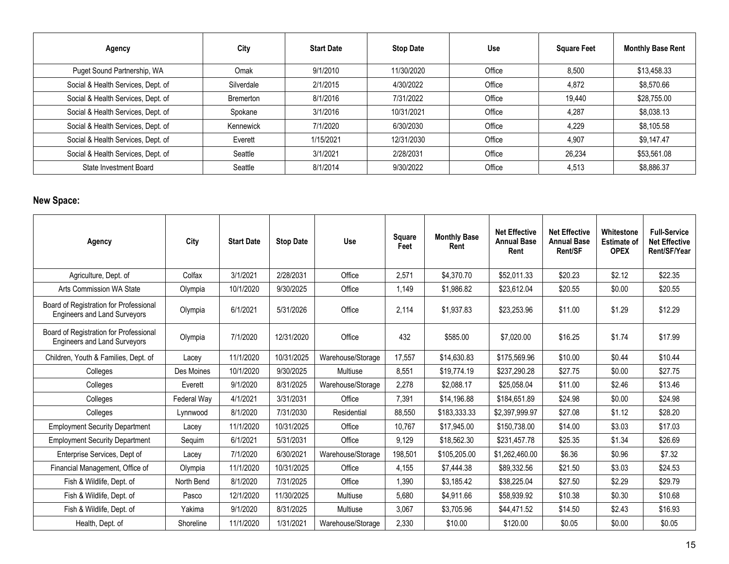| Agency                             | City       | <b>Start Date</b> | <b>Stop Date</b> | <b>Use</b> | <b>Square Feet</b> | <b>Monthly Base Rent</b> |
|------------------------------------|------------|-------------------|------------------|------------|--------------------|--------------------------|
| Puget Sound Partnership, WA        | Omak       | 9/1/2010          | 11/30/2020       | Office     | 8,500              | \$13,458.33              |
| Social & Health Services, Dept. of | Silverdale | 2/1/2015          | 4/30/2022        | Office     | 4,872              | \$8,570.66               |
| Social & Health Services, Dept. of | Bremerton  | 8/1/2016          | 7/31/2022        | Office     | 19.440             | \$28,755.00              |
| Social & Health Services, Dept. of | Spokane    | 3/1/2016          | 10/31/2021       | Office     | 4,287              | \$8,038.13               |
| Social & Health Services, Dept. of | Kennewick  | 7/1/2020          | 6/30/2030        | Office     | 4.229              | \$8,105.58               |
| Social & Health Services, Dept. of | Everett    | 1/15/2021         | 12/31/2030       | Office     | 4.907              | \$9,147.47               |
| Social & Health Services, Dept. of | Seattle    | 3/1/2021          | 2/28/2031        | Office     | 26,234             | \$53,561.08              |
| State Investment Board             | Seattle    | 8/1/2014          | 9/30/2022        | Office     | 4,513              | \$8,886.37               |

#### **New Space:**

| Agency                                                                        | City        | <b>Start Date</b> | <b>Stop Date</b> | Use               | Square<br>Feet | <b>Monthly Base</b><br>Rent | <b>Net Effective</b><br><b>Annual Base</b><br>Rent | <b>Net Effective</b><br><b>Annual Base</b><br><b>Rent/SF</b> | Whitestone<br><b>Estimate of</b><br><b>OPEX</b> | <b>Full-Service</b><br><b>Net Effective</b><br>Rent/SF/Year |
|-------------------------------------------------------------------------------|-------------|-------------------|------------------|-------------------|----------------|-----------------------------|----------------------------------------------------|--------------------------------------------------------------|-------------------------------------------------|-------------------------------------------------------------|
| Agriculture, Dept. of                                                         | Colfax      | 3/1/2021          | 2/28/2031        | Office            | 2,571          | \$4,370.70                  | \$52,011.33                                        | \$20.23                                                      | \$2.12                                          | \$22.35                                                     |
| Arts Commission WA State                                                      | Olympia     | 10/1/2020         | 9/30/2025        | Office            | 1,149          | \$1,986.82                  | \$23,612.04                                        | \$20.55                                                      | \$0.00                                          | \$20.55                                                     |
| Board of Registration for Professional<br><b>Engineers and Land Surveyors</b> | Olympia     | 6/1/2021          | 5/31/2026        | Office            | 2.114          | \$1,937.83                  | \$23,253.96                                        | \$11.00                                                      | \$1.29                                          | \$12.29                                                     |
| Board of Registration for Professional<br><b>Engineers and Land Surveyors</b> | Olympia     | 7/1/2020          | 12/31/2020       | Office            | 432            | \$585.00                    | \$7,020.00                                         | \$16.25                                                      | \$1.74                                          | \$17.99                                                     |
| Children, Youth & Families, Dept. of                                          | Lacey       | 11/1/2020         | 10/31/2025       | Warehouse/Storage | 17,557         | \$14,630.83                 | \$175,569.96                                       | \$10.00                                                      | \$0.44                                          | \$10.44                                                     |
| Colleges                                                                      | Des Moines  | 10/1/2020         | 9/30/2025        | <b>Multiuse</b>   | 8.551          | \$19,774.19                 | \$237.290.28                                       | \$27.75                                                      | \$0.00                                          | \$27.75                                                     |
| Colleges                                                                      | Everett     | 9/1/2020          | 8/31/2025        | Warehouse/Storage | 2,278          | \$2.088.17                  | \$25,058,04                                        | \$11.00                                                      | \$2.46                                          | \$13.46                                                     |
| Colleges                                                                      | Federal Way | 4/1/2021          | 3/31/2031        | Office            | 7,391          | \$14,196.88                 | \$184,651.89                                       | \$24.98                                                      | \$0.00                                          | \$24.98                                                     |
| Colleges                                                                      | Lynnwood    | 8/1/2020          | 7/31/2030        | Residential       | 88.550         | \$183,333,33                | \$2.397.999.97                                     | \$27.08                                                      | \$1.12                                          | \$28.20                                                     |
| <b>Employment Security Department</b>                                         | Lacey       | 11/1/2020         | 10/31/2025       | Office            | 10,767         | \$17,945.00                 | \$150.738.00                                       | \$14.00                                                      | \$3.03                                          | \$17.03                                                     |
| <b>Employment Security Department</b>                                         | Sequim      | 6/1/2021          | 5/31/2031        | Office            | 9,129          | \$18,562.30                 | \$231,457.78                                       | \$25.35                                                      | \$1.34                                          | \$26.69                                                     |
| Enterprise Services, Dept of                                                  | Lacev       | 7/1/2020          | 6/30/2021        | Warehouse/Storage | 198,501        | \$105.205.00                | \$1.262.460.00                                     | \$6.36                                                       | \$0.96                                          | \$7.32                                                      |
| Financial Management, Office of                                               | Olympia     | 11/1/2020         | 10/31/2025       | Office            | 4.155          | \$7,444.38                  | \$89,332.56                                        | \$21.50                                                      | \$3.03                                          | \$24.53                                                     |
| Fish & Wildlife, Dept. of                                                     | North Bend  | 8/1/2020          | 7/31/2025        | Office            | 1.390          | \$3,185.42                  | \$38,225.04                                        | \$27.50                                                      | \$2.29                                          | \$29.79                                                     |
| Fish & Wildlife, Dept. of                                                     | Pasco       | 12/1/2020         | 11/30/2025       | <b>Multiuse</b>   | 5.680          | \$4.911.66                  | \$58,939.92                                        | \$10.38                                                      | \$0.30                                          | \$10.68                                                     |
| Fish & Wildlife, Dept. of                                                     | Yakima      | 9/1/2020          | 8/31/2025        | <b>Multiuse</b>   | 3,067          | \$3.705.96                  | \$44.471.52                                        | \$14.50                                                      | \$2.43                                          | \$16.93                                                     |
| Health, Dept. of                                                              | Shoreline   | 11/1/2020         | 1/31/2021        | Warehouse/Storage | 2,330          | \$10.00                     | \$120.00                                           | \$0.05                                                       | \$0.00                                          | \$0.05                                                      |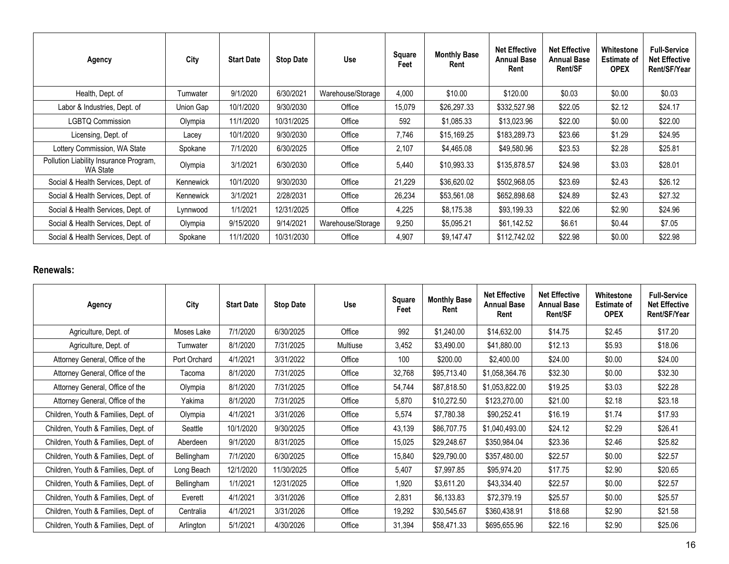| Agency                                             | City      | <b>Start Date</b> | <b>Stop Date</b> | Use               | Square<br>Feet | <b>Monthly Base</b><br>Rent | <b>Net Effective</b><br><b>Annual Base</b><br>Rent | <b>Net Effective</b><br><b>Annual Base</b><br><b>Rent/SF</b> | Whitestone<br><b>Estimate of</b><br><b>OPEX</b> | <b>Full-Service</b><br><b>Net Effective</b><br>Rent/SF/Year |
|----------------------------------------------------|-----------|-------------------|------------------|-------------------|----------------|-----------------------------|----------------------------------------------------|--------------------------------------------------------------|-------------------------------------------------|-------------------------------------------------------------|
| Health, Dept. of                                   | Tumwater  | 9/1/2020          | 6/30/2021        | Warehouse/Storage | 4,000          | \$10.00                     | \$120.00                                           | \$0.03                                                       | \$0.00                                          | \$0.03                                                      |
| Labor & Industries, Dept. of                       | Union Gap | 10/1/2020         | 9/30/2030        | Office            | 15,079         | \$26,297.33                 | \$332,527.98                                       | \$22.05                                                      | \$2.12                                          | \$24.17                                                     |
| <b>LGBTQ Commission</b>                            | Olympia   | 11/1/2020         | 10/31/2025       | Office            | 592            | \$1,085.33                  | \$13,023.96                                        | \$22.00                                                      | \$0.00                                          | \$22.00                                                     |
| Licensing, Dept. of                                | Lacey     | 10/1/2020         | 9/30/2030        | Office            | 7,746          | \$15,169.25                 | \$183,289.73                                       | \$23.66                                                      | \$1.29                                          | \$24.95                                                     |
| Lottery Commission, WA State                       | Spokane   | 7/1/2020          | 6/30/2025        | Office            | 2,107          | \$4,465.08                  | \$49,580.96                                        | \$23.53                                                      | \$2.28                                          | \$25.81                                                     |
| Pollution Liability Insurance Program,<br>WA State | Olympia   | 3/1/2021          | 6/30/2030        | Office            | 5,440          | \$10,993.33                 | \$135,878.57                                       | \$24.98                                                      | \$3.03                                          | \$28.01                                                     |
| Social & Health Services, Dept. of                 | Kennewick | 10/1/2020         | 9/30/2030        | Office            | 21,229         | \$36,620.02                 | \$502,968.05                                       | \$23.69                                                      | \$2.43                                          | \$26.12                                                     |
| Social & Health Services, Dept. of                 | Kennewick | 3/1/2021          | 2/28/2031        | Office            | 26,234         | \$53,561.08                 | \$652,898.68                                       | \$24.89                                                      | \$2.43                                          | \$27.32                                                     |
| Social & Health Services, Dept. of                 | Lynnwood  | 1/1/2021          | 12/31/2025       | Office            | 4,225          | \$8,175.38                  | \$93,199.33                                        | \$22.06                                                      | \$2.90                                          | \$24.96                                                     |
| Social & Health Services, Dept. of                 | Olympia   | 9/15/2020         | 9/14/2021        | Warehouse/Storage | 9,250          | \$5,095.21                  | \$61,142.52                                        | \$6.61                                                       | \$0.44                                          | \$7.05                                                      |
| Social & Health Services, Dept. of                 | Spokane   | 11/1/2020         | 10/31/2030       | Office            | 4,907          | \$9,147.47                  | \$112,742.02                                       | \$22.98                                                      | \$0.00                                          | \$22.98                                                     |

#### **Renewals:**

| Agency                               | City         | <b>Start Date</b> | <b>Stop Date</b> | Use      | <b>Square</b><br>Feet | <b>Monthly Base</b><br>Rent | <b>Net Effective</b><br><b>Annual Base</b><br>Rent | <b>Net Effective</b><br><b>Annual Base</b><br>Rent/SF | Whitestone<br><b>Estimate of</b><br><b>OPEX</b> | <b>Full-Service</b><br><b>Net Effective</b><br>Rent/SF/Year |
|--------------------------------------|--------------|-------------------|------------------|----------|-----------------------|-----------------------------|----------------------------------------------------|-------------------------------------------------------|-------------------------------------------------|-------------------------------------------------------------|
| Agriculture, Dept. of                | Moses Lake   | 7/1/2020          | 6/30/2025        | Office   | 992                   | \$1,240.00                  | \$14,632.00                                        | \$14.75                                               | \$2.45                                          | \$17.20                                                     |
| Agriculture, Dept. of                | Tumwater     | 8/1/2020          | 7/31/2025        | Multiuse | 3,452                 | \$3,490.00                  | \$41,880.00                                        | \$12.13                                               | \$5.93                                          | \$18.06                                                     |
| Attorney General, Office of the      | Port Orchard | 4/1/2021          | 3/31/2022        | Office   | 100                   | \$200.00                    | \$2,400.00                                         | \$24.00                                               | \$0.00                                          | \$24.00                                                     |
| Attorney General, Office of the      | Tacoma       | 8/1/2020          | 7/31/2025        | Office   | 32,768                | \$95,713.40                 | \$1,058,364.76                                     | \$32.30                                               | \$0.00                                          | \$32.30                                                     |
| Attorney General, Office of the      | Olympia      | 8/1/2020          | 7/31/2025        | Office   | 54,744                | \$87,818.50                 | \$1,053,822.00                                     | \$19.25                                               | \$3.03                                          | \$22.28                                                     |
| Attorney General, Office of the      | Yakima       | 8/1/2020          | 7/31/2025        | Office   | 5,870                 | \$10,272.50                 | \$123,270.00                                       | \$21.00                                               | \$2.18                                          | \$23.18                                                     |
| Children, Youth & Families, Dept. of | Olympia      | 4/1/2021          | 3/31/2026        | Office   | 5,574                 | \$7,780.38                  | \$90,252.41                                        | \$16.19                                               | \$1.74                                          | \$17.93                                                     |
| Children, Youth & Families, Dept. of | Seattle      | 10/1/2020         | 9/30/2025        | Office   | 43,139                | \$86,707.75                 | \$1,040,493.00                                     | \$24.12                                               | \$2.29                                          | \$26.41                                                     |
| Children, Youth & Families, Dept. of | Aberdeen     | 9/1/2020          | 8/31/2025        | Office   | 15,025                | \$29,248.67                 | \$350,984.04                                       | \$23.36                                               | \$2.46                                          | \$25.82                                                     |
| Children, Youth & Families, Dept. of | Bellingham   | 7/1/2020          | 6/30/2025        | Office   | 15,840                | \$29,790.00                 | \$357,480.00                                       | \$22.57                                               | \$0.00                                          | \$22.57                                                     |
| Children, Youth & Families, Dept. of | Long Beach   | 12/1/2020         | 11/30/2025       | Office   | 5,407                 | \$7,997.85                  | \$95,974.20                                        | \$17.75                                               | \$2.90                                          | \$20.65                                                     |
| Children, Youth & Families, Dept. of | Bellingham   | 1/1/2021          | 12/31/2025       | Office   | 1,920                 | \$3,611.20                  | \$43,334.40                                        | \$22.57                                               | \$0.00                                          | \$22.57                                                     |
| Children, Youth & Families, Dept. of | Everett      | 4/1/2021          | 3/31/2026        | Office   | 2,831                 | \$6,133.83                  | \$72,379.19                                        | \$25.57                                               | \$0.00                                          | \$25.57                                                     |
| Children, Youth & Families, Dept. of | Centralia    | 4/1/2021          | 3/31/2026        | Office   | 19,292                | \$30,545.67                 | \$360,438.91                                       | \$18.68                                               | \$2.90                                          | \$21.58                                                     |
| Children, Youth & Families, Dept. of | Arlington    | 5/1/2021          | 4/30/2026        | Office   | 31,394                | \$58,471.33                 | \$695,655.96                                       | \$22.16                                               | \$2.90                                          | \$25.06                                                     |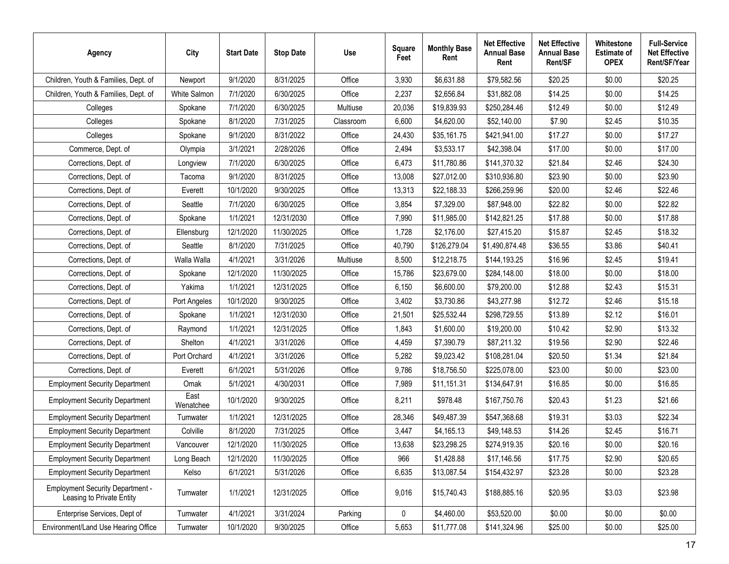| Agency                                                               | City              | <b>Start Date</b> | <b>Stop Date</b> | <b>Use</b> | <b>Square</b><br>Feet | <b>Monthly Base</b><br>Rent | <b>Net Effective</b><br><b>Annual Base</b><br>Rent | <b>Net Effective</b><br><b>Annual Base</b><br>Rent/SF | Whitestone<br><b>Estimate of</b><br><b>OPEX</b> | <b>Full-Service</b><br><b>Net Effective</b><br>Rent/SF/Year |
|----------------------------------------------------------------------|-------------------|-------------------|------------------|------------|-----------------------|-----------------------------|----------------------------------------------------|-------------------------------------------------------|-------------------------------------------------|-------------------------------------------------------------|
| Children, Youth & Families, Dept. of                                 | Newport           | 9/1/2020          | 8/31/2025        | Office     | 3,930                 | \$6,631.88                  | \$79,582.56                                        | \$20.25                                               | \$0.00                                          | \$20.25                                                     |
| Children, Youth & Families, Dept. of                                 | White Salmon      | 7/1/2020          | 6/30/2025        | Office     | 2,237                 | \$2,656.84                  | \$31,882.08                                        | \$14.25                                               | \$0.00                                          | \$14.25                                                     |
| Colleges                                                             | Spokane           | 7/1/2020          | 6/30/2025        | Multiuse   | 20,036                | \$19,839.93                 | \$250,284.46                                       | \$12.49                                               | \$0.00                                          | \$12.49                                                     |
| Colleges                                                             | Spokane           | 8/1/2020          | 7/31/2025        | Classroom  | 6,600                 | \$4,620.00                  | \$52,140.00                                        | \$7.90                                                | \$2.45                                          | \$10.35                                                     |
| Colleges                                                             | Spokane           | 9/1/2020          | 8/31/2022        | Office     | 24,430                | \$35,161.75                 | \$421,941.00                                       | \$17.27                                               | \$0.00                                          | \$17.27                                                     |
| Commerce, Dept. of                                                   | Olympia           | 3/1/2021          | 2/28/2026        | Office     | 2,494                 | \$3,533.17                  | \$42,398.04                                        | \$17.00                                               | \$0.00                                          | \$17.00                                                     |
| Corrections, Dept. of                                                | Longview          | 7/1/2020          | 6/30/2025        | Office     | 6,473                 | \$11,780.86                 | \$141,370.32                                       | \$21.84                                               | \$2.46                                          | \$24.30                                                     |
| Corrections, Dept. of                                                | Tacoma            | 9/1/2020          | 8/31/2025        | Office     | 13,008                | \$27,012.00                 | \$310,936.80                                       | \$23.90                                               | \$0.00                                          | \$23.90                                                     |
| Corrections, Dept. of                                                | Everett           | 10/1/2020         | 9/30/2025        | Office     | 13,313                | \$22,188.33                 | \$266,259.96                                       | \$20.00                                               | \$2.46                                          | \$22.46                                                     |
| Corrections, Dept. of                                                | Seattle           | 7/1/2020          | 6/30/2025        | Office     | 3,854                 | \$7,329.00                  | \$87,948.00                                        | \$22.82                                               | \$0.00                                          | \$22.82                                                     |
| Corrections, Dept. of                                                | Spokane           | 1/1/2021          | 12/31/2030       | Office     | 7,990                 | \$11,985.00                 | \$142,821.25                                       | \$17.88                                               | \$0.00                                          | \$17.88                                                     |
| Corrections, Dept. of                                                | Ellensburg        | 12/1/2020         | 11/30/2025       | Office     | 1,728                 | \$2,176.00                  | \$27,415.20                                        | \$15.87                                               | \$2.45                                          | \$18.32                                                     |
| Corrections, Dept. of                                                | Seattle           | 8/1/2020          | 7/31/2025        | Office     | 40,790                | \$126,279.04                | \$1,490,874.48                                     | \$36.55                                               | \$3.86                                          | \$40.41                                                     |
| Corrections, Dept. of                                                | Walla Walla       | 4/1/2021          | 3/31/2026        | Multiuse   | 8,500                 | \$12,218.75                 | \$144,193.25                                       | \$16.96                                               | \$2.45                                          | \$19.41                                                     |
| Corrections, Dept. of                                                | Spokane           | 12/1/2020         | 11/30/2025       | Office     | 15,786                | \$23,679.00                 | \$284,148.00                                       | \$18.00                                               | \$0.00                                          | \$18.00                                                     |
| Corrections, Dept. of                                                | Yakima            | 1/1/2021          | 12/31/2025       | Office     | 6,150                 | \$6,600.00                  | \$79,200.00                                        | \$12.88                                               | \$2.43                                          | \$15.31                                                     |
| Corrections, Dept. of                                                | Port Angeles      | 10/1/2020         | 9/30/2025        | Office     | 3,402                 | \$3,730.86                  | \$43,277.98                                        | \$12.72                                               | \$2.46                                          | \$15.18                                                     |
| Corrections, Dept. of                                                | Spokane           | 1/1/2021          | 12/31/2030       | Office     | 21,501                | \$25,532.44                 | \$298,729.55                                       | \$13.89                                               | \$2.12                                          | \$16.01                                                     |
| Corrections, Dept. of                                                | Raymond           | 1/1/2021          | 12/31/2025       | Office     | 1,843                 | \$1,600.00                  | \$19,200.00                                        | \$10.42                                               | \$2.90                                          | \$13.32                                                     |
| Corrections, Dept. of                                                | Shelton           | 4/1/2021          | 3/31/2026        | Office     | 4,459                 | \$7,390.79                  | \$87,211.32                                        | \$19.56                                               | \$2.90                                          | \$22.46                                                     |
| Corrections, Dept. of                                                | Port Orchard      | 4/1/2021          | 3/31/2026        | Office     | 5,282                 | \$9,023.42                  | \$108,281.04                                       | \$20.50                                               | \$1.34                                          | \$21.84                                                     |
| Corrections, Dept. of                                                | Everett           | 6/1/2021          | 5/31/2026        | Office     | 9,786                 | \$18,756.50                 | \$225,078.00                                       | \$23.00                                               | \$0.00                                          | \$23.00                                                     |
| <b>Employment Security Department</b>                                | Omak              | 5/1/2021          | 4/30/2031        | Office     | 7,989                 | \$11,151.31                 | \$134,647.91                                       | \$16.85                                               | \$0.00                                          | \$16.85                                                     |
| <b>Employment Security Department</b>                                | East<br>Wenatchee | 10/1/2020         | 9/30/2025        | Office     | 8,211                 | \$978.48                    | \$167,750.76                                       | \$20.43                                               | \$1.23                                          | \$21.66                                                     |
| <b>Employment Security Department</b>                                | Tumwater          | 1/1/2021          | 12/31/2025       | Office     | 28,346                | \$49,487.39                 | \$547,368.68                                       | \$19.31                                               | \$3.03                                          | \$22.34                                                     |
| <b>Employment Security Department</b>                                | Colville          | 8/1/2020          | 7/31/2025        | Office     | 3,447                 | \$4,165.13                  | \$49,148.53                                        | \$14.26                                               | \$2.45                                          | \$16.71                                                     |
| <b>Employment Security Department</b>                                | Vancouver         | 12/1/2020         | 11/30/2025       | Office     | 13,638                | \$23,298.25                 | \$274,919.35                                       | \$20.16                                               | \$0.00                                          | \$20.16                                                     |
| <b>Employment Security Department</b>                                | Long Beach        | 12/1/2020         | 11/30/2025       | Office     | 966                   | \$1,428.88                  | \$17,146.56                                        | \$17.75                                               | \$2.90                                          | \$20.65                                                     |
| <b>Employment Security Department</b>                                | Kelso             | 6/1/2021          | 5/31/2026        | Office     | 6,635                 | \$13,087.54                 | \$154,432.97                                       | \$23.28                                               | \$0.00                                          | \$23.28                                                     |
| <b>Employment Security Department -</b><br>Leasing to Private Entity | Tumwater          | 1/1/2021          | 12/31/2025       | Office     | 9,016                 | \$15,740.43                 | \$188,885.16                                       | \$20.95                                               | \$3.03                                          | \$23.98                                                     |
| Enterprise Services, Dept of                                         | Tumwater          | 4/1/2021          | 3/31/2024        | Parking    | 0                     | \$4,460.00                  | \$53,520.00                                        | \$0.00                                                | \$0.00                                          | \$0.00                                                      |
| Environment/Land Use Hearing Office                                  | Tumwater          | 10/1/2020         | 9/30/2025        | Office     | 5,653                 | \$11,777.08                 | \$141,324.96                                       | \$25.00                                               | \$0.00                                          | \$25.00                                                     |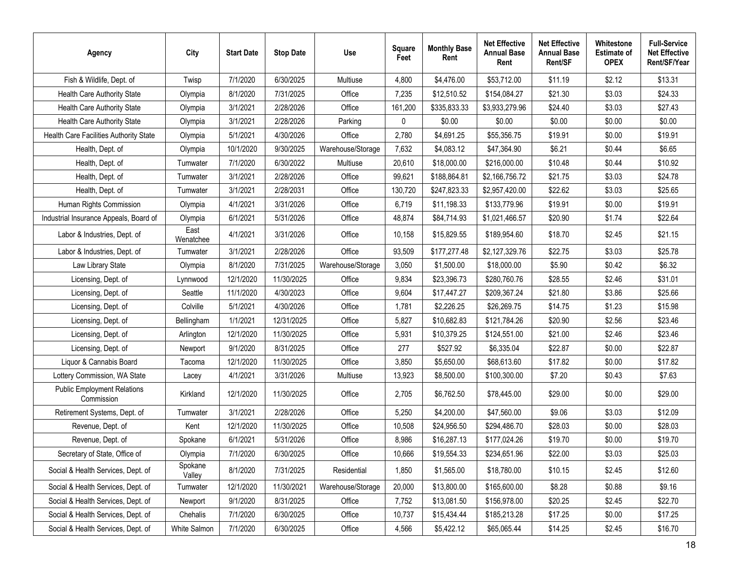| <b>Agency</b>                                    | City              | <b>Start Date</b> | <b>Stop Date</b> | Use               | <b>Square</b><br>Feet | <b>Monthly Base</b><br>Rent | <b>Net Effective</b><br><b>Annual Base</b><br>Rent | <b>Net Effective</b><br><b>Annual Base</b><br>Rent/SF | Whitestone<br><b>Estimate of</b><br><b>OPEX</b> | <b>Full-Service</b><br><b>Net Effective</b><br>Rent/SF/Year |
|--------------------------------------------------|-------------------|-------------------|------------------|-------------------|-----------------------|-----------------------------|----------------------------------------------------|-------------------------------------------------------|-------------------------------------------------|-------------------------------------------------------------|
| Fish & Wildlife, Dept. of                        | Twisp             | 7/1/2020          | 6/30/2025        | Multiuse          | 4,800                 | \$4,476.00                  | \$53,712.00                                        | \$11.19                                               | \$2.12                                          | \$13.31                                                     |
| Health Care Authority State                      | Olympia           | 8/1/2020          | 7/31/2025        | Office            | 7,235                 | \$12,510.52                 | \$154,084.27                                       | \$21.30                                               | \$3.03                                          | \$24.33                                                     |
| Health Care Authority State                      | Olympia           | 3/1/2021          | 2/28/2026        | Office            | 161,200               | \$335,833.33                | \$3,933,279.96                                     | \$24.40                                               | \$3.03                                          | \$27.43                                                     |
| Health Care Authority State                      | Olympia           | 3/1/2021          | 2/28/2026        | Parking           | 0                     | \$0.00                      | \$0.00                                             | \$0.00                                                | \$0.00                                          | \$0.00                                                      |
| Health Care Facilities Authority State           | Olympia           | 5/1/2021          | 4/30/2026        | Office            | 2,780                 | \$4,691.25                  | \$55,356.75                                        | \$19.91                                               | \$0.00                                          | \$19.91                                                     |
| Health, Dept. of                                 | Olympia           | 10/1/2020         | 9/30/2025        | Warehouse/Storage | 7,632                 | \$4,083.12                  | \$47,364.90                                        | \$6.21                                                | \$0.44                                          | \$6.65                                                      |
| Health, Dept. of                                 | Tumwater          | 7/1/2020          | 6/30/2022        | Multiuse          | 20,610                | \$18,000.00                 | \$216,000.00                                       | \$10.48                                               | \$0.44                                          | \$10.92                                                     |
| Health, Dept. of                                 | Tumwater          | 3/1/2021          | 2/28/2026        | Office            | 99,621                | \$188,864.81                | \$2,166,756.72                                     | \$21.75                                               | \$3.03                                          | \$24.78                                                     |
| Health, Dept. of                                 | Tumwater          | 3/1/2021          | 2/28/2031        | Office            | 130,720               | \$247,823.33                | \$2,957,420.00                                     | \$22.62                                               | \$3.03                                          | \$25.65                                                     |
| Human Rights Commission                          | Olympia           | 4/1/2021          | 3/31/2026        | Office            | 6,719                 | \$11,198.33                 | \$133,779.96                                       | \$19.91                                               | \$0.00                                          | \$19.91                                                     |
| Industrial Insurance Appeals, Board of           | Olympia           | 6/1/2021          | 5/31/2026        | Office            | 48,874                | \$84,714.93                 | \$1,021,466.57                                     | \$20.90                                               | \$1.74                                          | \$22.64                                                     |
| Labor & Industries, Dept. of                     | East<br>Wenatchee | 4/1/2021          | 3/31/2026        | Office            | 10,158                | \$15,829.55                 | \$189,954.60                                       | \$18.70                                               | \$2.45                                          | \$21.15                                                     |
| Labor & Industries, Dept. of                     | Tumwater          | 3/1/2021          | 2/28/2026        | Office            | 93,509                | \$177,277.48                | \$2,127,329.76                                     | \$22.75                                               | \$3.03                                          | \$25.78                                                     |
| Law Library State                                | Olympia           | 8/1/2020          | 7/31/2025        | Warehouse/Storage | 3,050                 | \$1,500.00                  | \$18,000.00                                        | \$5.90                                                | \$0.42                                          | \$6.32                                                      |
| Licensing, Dept. of                              | Lynnwood          | 12/1/2020         | 11/30/2025       | Office            | 9,834                 | \$23,396.73                 | \$280,760.76                                       | \$28.55                                               | \$2.46                                          | \$31.01                                                     |
| Licensing, Dept. of                              | Seattle           | 11/1/2020         | 4/30/2023        | Office            | 9,604                 | \$17,447.27                 | \$209,367.24                                       | \$21.80                                               | \$3.86                                          | \$25.66                                                     |
| Licensing, Dept. of                              | Colville          | 5/1/2021          | 4/30/2026        | Office            | 1,781                 | \$2,226.25                  | \$26,269.75                                        | \$14.75                                               | \$1.23                                          | \$15.98                                                     |
| Licensing, Dept. of                              | Bellingham        | 1/1/2021          | 12/31/2025       | Office            | 5,827                 | \$10,682.83                 | \$121,784.26                                       | \$20.90                                               | \$2.56                                          | \$23.46                                                     |
| Licensing, Dept. of                              | Arlington         | 12/1/2020         | 11/30/2025       | Office            | 5,931                 | \$10,379.25                 | \$124,551.00                                       | \$21.00                                               | \$2.46                                          | \$23.46                                                     |
| Licensing, Dept. of                              | Newport           | 9/1/2020          | 8/31/2025        | Office            | 277                   | \$527.92                    | \$6,335.04                                         | \$22.87                                               | \$0.00                                          | \$22.87                                                     |
| Liquor & Cannabis Board                          | Tacoma            | 12/1/2020         | 11/30/2025       | Office            | 3,850                 | \$5,650.00                  | \$68,613.60                                        | \$17.82                                               | \$0.00                                          | \$17.82                                                     |
| Lottery Commission, WA State                     | Lacey             | 4/1/2021          | 3/31/2026        | Multiuse          | 13,923                | \$8,500.00                  | \$100,300.00                                       | \$7.20                                                | \$0.43                                          | \$7.63                                                      |
| <b>Public Employment Relations</b><br>Commission | Kirkland          | 12/1/2020         | 11/30/2025       | Office            | 2,705                 | \$6,762.50                  | \$78,445.00                                        | \$29.00                                               | \$0.00                                          | \$29.00                                                     |
| Retirement Systems, Dept. of                     | Tumwater          | 3/1/2021          | 2/28/2026        | Office            | 5,250                 | \$4,200.00                  | \$47,560.00                                        | \$9.06                                                | \$3.03                                          | \$12.09                                                     |
| Revenue, Dept. of                                | Kent              | 12/1/2020         | 11/30/2025       | Office            | 10,508                | \$24,956.50                 | \$294,486.70                                       | \$28.03                                               | \$0.00                                          | \$28.03                                                     |
| Revenue, Dept. of                                | Spokane           | 6/1/2021          | 5/31/2026        | Office            | 8.986                 | \$16,287.13                 | \$177,024.26                                       | \$19.70                                               | \$0.00                                          | \$19.70                                                     |
| Secretary of State, Office of                    | Olympia           | 7/1/2020          | 6/30/2025        | Office            | 10,666                | \$19,554.33                 | \$234,651.96                                       | \$22.00                                               | \$3.03                                          | \$25.03                                                     |
| Social & Health Services, Dept. of               | Spokane<br>Valley | 8/1/2020          | 7/31/2025        | Residential       | 1,850                 | \$1,565.00                  | \$18,780.00                                        | \$10.15                                               | \$2.45                                          | \$12.60                                                     |
| Social & Health Services, Dept. of               | Tumwater          | 12/1/2020         | 11/30/2021       | Warehouse/Storage | 20,000                | \$13,800.00                 | \$165,600.00                                       | \$8.28                                                | \$0.88                                          | \$9.16                                                      |
| Social & Health Services, Dept. of               | Newport           | 9/1/2020          | 8/31/2025        | Office            | 7,752                 | \$13,081.50                 | \$156,978.00                                       | \$20.25                                               | \$2.45                                          | \$22.70                                                     |
| Social & Health Services, Dept. of               | Chehalis          | 7/1/2020          | 6/30/2025        | Office            | 10,737                | \$15,434.44                 | \$185,213.28                                       | \$17.25                                               | \$0.00                                          | \$17.25                                                     |
| Social & Health Services, Dept. of               | White Salmon      | 7/1/2020          | 6/30/2025        | Office            | 4,566                 | \$5,422.12                  | \$65,065.44                                        | \$14.25                                               | \$2.45                                          | \$16.70                                                     |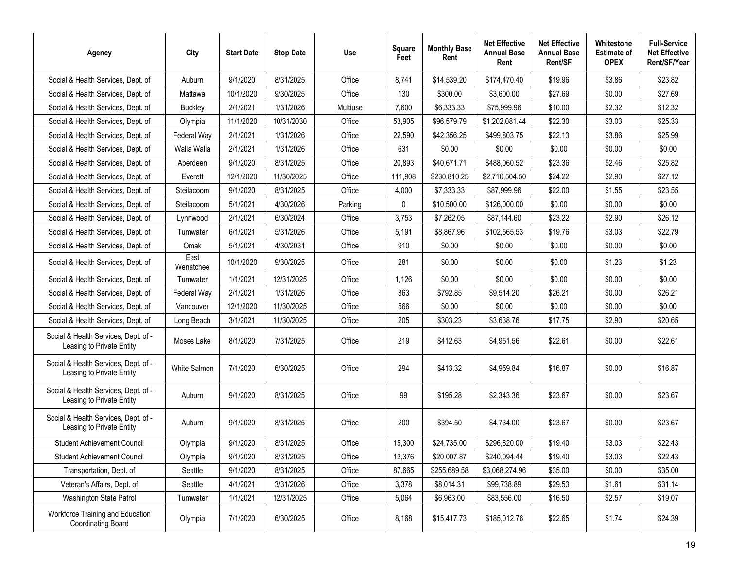| Agency                                                            | City              | <b>Start Date</b> | <b>Stop Date</b> | <b>Use</b> | <b>Square</b><br>Feet | <b>Monthly Base</b><br>Rent | <b>Net Effective</b><br><b>Annual Base</b><br>Rent | <b>Net Effective</b><br><b>Annual Base</b><br>Rent/SF | Whitestone<br><b>Estimate of</b><br><b>OPEX</b> | <b>Full-Service</b><br><b>Net Effective</b><br>Rent/SF/Year |
|-------------------------------------------------------------------|-------------------|-------------------|------------------|------------|-----------------------|-----------------------------|----------------------------------------------------|-------------------------------------------------------|-------------------------------------------------|-------------------------------------------------------------|
| Social & Health Services, Dept. of                                | Auburn            | 9/1/2020          | 8/31/2025        | Office     | 8.741                 | \$14,539.20                 | \$174,470.40                                       | \$19.96                                               | \$3.86                                          | \$23.82                                                     |
| Social & Health Services, Dept. of                                | Mattawa           | 10/1/2020         | 9/30/2025        | Office     | 130                   | \$300.00                    | \$3,600.00                                         | \$27.69                                               | \$0.00                                          | \$27.69                                                     |
| Social & Health Services, Dept. of                                | <b>Buckley</b>    | 2/1/2021          | 1/31/2026        | Multiuse   | 7,600                 | \$6,333.33                  | \$75,999.96                                        | \$10.00                                               | \$2.32                                          | \$12.32                                                     |
| Social & Health Services, Dept. of                                | Olympia           | 11/1/2020         | 10/31/2030       | Office     | 53,905                | \$96,579.79                 | \$1,202,081.44                                     | \$22.30                                               | \$3.03                                          | \$25.33                                                     |
| Social & Health Services, Dept. of                                | Federal Way       | 2/1/2021          | 1/31/2026        | Office     | 22,590                | \$42,356.25                 | \$499,803.75                                       | \$22.13                                               | \$3.86                                          | \$25.99                                                     |
| Social & Health Services, Dept. of                                | Walla Walla       | 2/1/2021          | 1/31/2026        | Office     | 631                   | \$0.00                      | \$0.00                                             | \$0.00                                                | \$0.00                                          | \$0.00                                                      |
| Social & Health Services, Dept. of                                | Aberdeen          | 9/1/2020          | 8/31/2025        | Office     | 20,893                | \$40,671.71                 | \$488,060.52                                       | \$23.36                                               | \$2.46                                          | \$25.82                                                     |
| Social & Health Services, Dept. of                                | Everett           | 12/1/2020         | 11/30/2025       | Office     | 111,908               | \$230,810.25                | \$2,710,504.50                                     | \$24.22                                               | \$2.90                                          | \$27.12                                                     |
| Social & Health Services, Dept. of                                | Steilacoom        | 9/1/2020          | 8/31/2025        | Office     | 4,000                 | \$7,333.33                  | \$87,999.96                                        | \$22.00                                               | \$1.55                                          | \$23.55                                                     |
| Social & Health Services, Dept. of                                | Steilacoom        | 5/1/2021          | 4/30/2026        | Parking    | $\mathbf{0}$          | \$10,500.00                 | \$126,000.00                                       | \$0.00                                                | \$0.00                                          | \$0.00                                                      |
| Social & Health Services, Dept. of                                | Lynnwood          | 2/1/2021          | 6/30/2024        | Office     | 3,753                 | \$7,262.05                  | \$87,144.60                                        | \$23.22                                               | \$2.90                                          | \$26.12                                                     |
| Social & Health Services, Dept. of                                | Tumwater          | 6/1/2021          | 5/31/2026        | Office     | 5,191                 | \$8,867.96                  | \$102,565.53                                       | \$19.76                                               | \$3.03                                          | \$22.79                                                     |
| Social & Health Services, Dept. of                                | Omak              | 5/1/2021          | 4/30/2031        | Office     | 910                   | \$0.00                      | \$0.00                                             | \$0.00                                                | \$0.00                                          | \$0.00                                                      |
| Social & Health Services, Dept. of                                | East<br>Wenatchee | 10/1/2020         | 9/30/2025        | Office     | 281                   | \$0.00                      | \$0.00                                             | \$0.00                                                | \$1.23                                          | \$1.23                                                      |
| Social & Health Services, Dept. of                                | Tumwater          | 1/1/2021          | 12/31/2025       | Office     | 1,126                 | \$0.00                      | \$0.00                                             | \$0.00                                                | \$0.00                                          | \$0.00                                                      |
| Social & Health Services, Dept. of                                | Federal Way       | 2/1/2021          | 1/31/2026        | Office     | 363                   | \$792.85                    | \$9,514.20                                         | \$26.21                                               | \$0.00                                          | \$26.21                                                     |
| Social & Health Services, Dept. of                                | Vancouver         | 12/1/2020         | 11/30/2025       | Office     | 566                   | \$0.00                      | \$0.00                                             | \$0.00                                                | \$0.00                                          | \$0.00                                                      |
| Social & Health Services, Dept. of                                | Long Beach        | 3/1/2021          | 11/30/2025       | Office     | 205                   | \$303.23                    | \$3,638.76                                         | \$17.75                                               | \$2.90                                          | \$20.65                                                     |
| Social & Health Services, Dept. of -<br>Leasing to Private Entity | Moses Lake        | 8/1/2020          | 7/31/2025        | Office     | 219                   | \$412.63                    | \$4,951.56                                         | \$22.61                                               | \$0.00                                          | \$22.61                                                     |
| Social & Health Services, Dept. of -<br>Leasing to Private Entity | White Salmon      | 7/1/2020          | 6/30/2025        | Office     | 294                   | \$413.32                    | \$4,959.84                                         | \$16.87                                               | \$0.00                                          | \$16.87                                                     |
| Social & Health Services, Dept. of -<br>Leasing to Private Entity | Auburn            | 9/1/2020          | 8/31/2025        | Office     | 99                    | \$195.28                    | \$2,343.36                                         | \$23.67                                               | \$0.00                                          | \$23.67                                                     |
| Social & Health Services, Dept. of -<br>Leasing to Private Entity | Auburn            | 9/1/2020          | 8/31/2025        | Office     | 200                   | \$394.50                    | \$4,734.00                                         | \$23.67                                               | \$0.00                                          | \$23.67                                                     |
| <b>Student Achievement Council</b>                                | Olympia           | 9/1/2020          | 8/31/2025        | Office     | 15,300                | \$24,735.00                 | \$296,820.00                                       | \$19.40                                               | \$3.03                                          | \$22.43                                                     |
| Student Achievement Council                                       | Olympia           | 9/1/2020          | 8/31/2025        | Office     | 12,376                | \$20,007.87                 | \$240,094.44                                       | \$19.40                                               | \$3.03                                          | \$22.43                                                     |
| Transportation, Dept. of                                          | Seattle           | 9/1/2020          | 8/31/2025        | Office     | 87,665                | \$255,689.58                | \$3,068,274.96                                     | \$35.00                                               | \$0.00                                          | \$35.00                                                     |
| Veteran's Affairs, Dept. of                                       | Seattle           | 4/1/2021          | 3/31/2026        | Office     | 3,378                 | \$8,014.31                  | \$99,738.89                                        | \$29.53                                               | \$1.61                                          | \$31.14                                                     |
| Washington State Patrol                                           | Tumwater          | 1/1/2021          | 12/31/2025       | Office     | 5,064                 | \$6,963.00                  | \$83,556.00                                        | \$16.50                                               | \$2.57                                          | \$19.07                                                     |
| Workforce Training and Education<br>Coordinating Board            | Olympia           | 7/1/2020          | 6/30/2025        | Office     | 8,168                 | \$15,417.73                 | \$185,012.76                                       | \$22.65                                               | \$1.74                                          | \$24.39                                                     |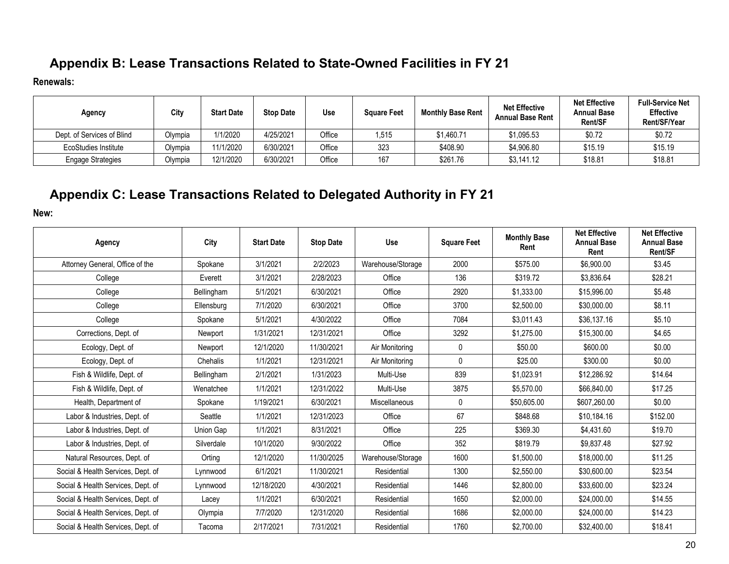## **Appendix B: Lease Transactions Related to State-Owned Facilities in FY 21**

**Renewals:**

| Agency                     | City    | <b>Start Date</b> | <b>Stop Date</b> | Use    | <b>Square Feet</b> | <b>Monthly Base Rent</b> | <b>Net Effective</b><br><b>Annual Base Rent</b> | <b>Net Effective</b><br><b>Annual Base</b><br><b>Rent/SF</b> | <b>Full-Service Net</b><br><b>Effective</b><br>Rent/SF/Year |
|----------------------------|---------|-------------------|------------------|--------|--------------------|--------------------------|-------------------------------------------------|--------------------------------------------------------------|-------------------------------------------------------------|
| Dept. of Services of Blind | Olympia | 1/1/2020          | 4/25/2021        | Office | ,515               | \$1.460.71               | \$1,095.53                                      | \$0.72                                                       | \$0.72                                                      |
| EcoStudies Institute       | Olympia | 11/1/2020         | 6/30/2021        | Office | 323                | \$408.90                 | \$4,906.80                                      | \$15.19                                                      | \$15.19                                                     |
| <b>Engage Strategies</b>   | Olympia | 12/1/2020         | 6/30/2021        | Office | 167                | \$261.76                 | \$3,141.12                                      | \$18.81                                                      | \$18.81                                                     |

## **Appendix C: Lease Transactions Related to Delegated Authority in FY 21**

**New:**

<span id="page-19-1"></span><span id="page-19-0"></span>

| Agency                             | City       | <b>Start Date</b> | <b>Stop Date</b> | Use               | <b>Square Feet</b> | <b>Monthly Base</b><br>Rent | <b>Net Effective</b><br><b>Annual Base</b><br>Rent | <b>Net Effective</b><br><b>Annual Base</b><br>Rent/SF |
|------------------------------------|------------|-------------------|------------------|-------------------|--------------------|-----------------------------|----------------------------------------------------|-------------------------------------------------------|
| Attorney General, Office of the    | Spokane    | 3/1/2021          | 2/2/2023         | Warehouse/Storage | 2000               | \$575.00                    | \$6,900.00                                         | \$3.45                                                |
| College                            | Everett    | 3/1/2021          | 2/28/2023        | Office            | 136                | \$319.72                    | \$3,836.64                                         | \$28.21                                               |
| College                            | Bellingham | 5/1/2021          | 6/30/2021        | Office            | 2920               | \$1.333.00                  | \$15,996.00                                        | \$5.48                                                |
| College                            | Ellensburg | 7/1/2020          | 6/30/2021        | Office            | 3700               | \$2,500.00                  | \$30,000.00                                        | \$8.11                                                |
| College                            | Spokane    | 5/1/2021          | 4/30/2022        | Office            | 7084               | \$3.011.43                  | \$36,137,16                                        | \$5.10                                                |
| Corrections, Dept. of              | Newport    | 1/31/2021         | 12/31/2021       | Office            | 3292               | \$1,275.00                  | \$15,300.00                                        | \$4.65                                                |
| Ecology, Dept. of                  | Newport    | 12/1/2020         | 11/30/2021       | Air Monitoring    | 0                  | \$50.00                     | \$600.00                                           | \$0.00                                                |
| Ecology, Dept. of                  | Chehalis   | 1/1/2021          | 12/31/2021       | Air Monitoring    | $\mathbf{0}$       | \$25.00                     | \$300.00                                           | \$0.00                                                |
| Fish & Wildlife, Dept. of          | Bellingham | 2/1/2021          | 1/31/2023        | Multi-Use         | 839                | \$1,023.91                  | \$12,286.92                                        | \$14.64                                               |
| Fish & Wildlife, Dept. of          | Wenatchee  | 1/1/2021          | 12/31/2022       | Multi-Use         | 3875               | \$5,570.00                  | \$66,840.00                                        | \$17.25                                               |
| Health, Department of              | Spokane    | 1/19/2021         | 6/30/2021        | Miscellaneous     | $\mathbf{0}$       | \$50,605.00                 | \$607,260.00                                       | \$0.00                                                |
| Labor & Industries, Dept. of       | Seattle    | 1/1/2021          | 12/31/2023       | Office            | 67                 | \$848.68                    | \$10,184.16                                        | \$152.00                                              |
| Labor & Industries, Dept. of       | Union Gap  | 1/1/2021          | 8/31/2021        | Office            | 225                | \$369.30                    | \$4,431.60                                         | \$19.70                                               |
| Labor & Industries, Dept. of       | Silverdale | 10/1/2020         | 9/30/2022        | Office            | 352                | \$819.79                    | \$9,837.48                                         | \$27.92                                               |
| Natural Resources, Dept. of        | Orting     | 12/1/2020         | 11/30/2025       | Warehouse/Storage | 1600               | \$1,500.00                  | \$18,000.00                                        | \$11.25                                               |
| Social & Health Services, Dept. of | Lynnwood   | 6/1/2021          | 11/30/2021       | Residential       | 1300               | \$2,550.00                  | \$30,600.00                                        | \$23.54                                               |
| Social & Health Services, Dept. of | Lynnwood   | 12/18/2020        | 4/30/2021        | Residential       | 1446               | \$2,800.00                  | \$33,600.00                                        | \$23.24                                               |
| Social & Health Services, Dept. of | Lacey      | 1/1/2021          | 6/30/2021        | Residential       | 1650               | \$2,000.00                  | \$24,000.00                                        | \$14.55                                               |
| Social & Health Services, Dept. of | Olympia    | 7/7/2020          | 12/31/2020       | Residential       | 1686               | \$2,000.00                  | \$24,000.00                                        | \$14.23                                               |
| Social & Health Services, Dept. of | Tacoma     | 2/17/2021         | 7/31/2021        | Residential       | 1760               | \$2,700.00                  | \$32,400.00                                        | \$18.41                                               |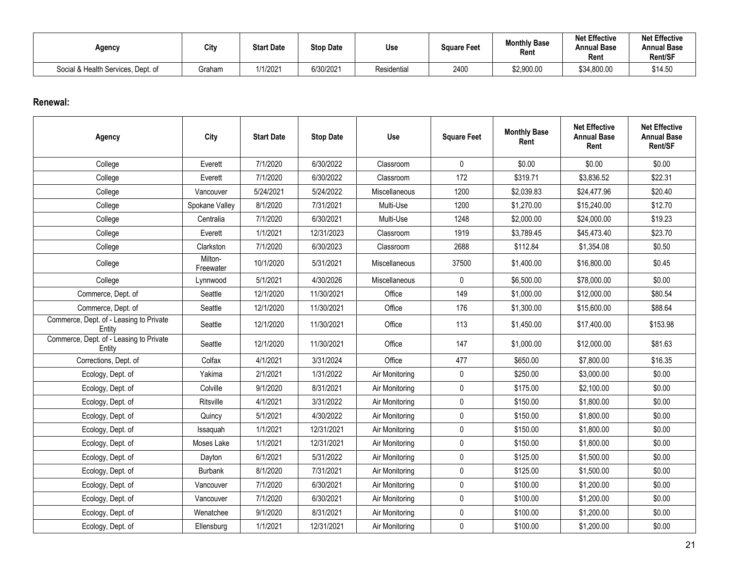| Agency                             | City   | <b>Start Date</b> | <b>Stop Date</b> | Use         | <b>Sauare Feet</b> | <b>Monthly Base</b><br>Rent | <b>Net Effective</b><br>Annual Base<br>Rent | <b>Net Effective</b><br><b>Annual Base</b><br>Rent/SF |
|------------------------------------|--------|-------------------|------------------|-------------|--------------------|-----------------------------|---------------------------------------------|-------------------------------------------------------|
| Social & Health Services, Dept. of | Graham | 1/1/2021          | 6/30/2021        | Residential | 2400               | \$2,900.00                  | \$34,800.00                                 | \$14.50                                               |

#### **Renewal:**

| Agency                                            | City                 | <b>Start Date</b> | <b>Stop Date</b> | Use            | <b>Square Feet</b> | <b>Monthly Base</b><br>Rent | <b>Net Effective</b><br><b>Annual Base</b><br>Rent | <b>Net Effective</b><br><b>Annual Base</b><br>Rent/SF |
|---------------------------------------------------|----------------------|-------------------|------------------|----------------|--------------------|-----------------------------|----------------------------------------------------|-------------------------------------------------------|
| College                                           | Everett              | 7/1/2020          | 6/30/2022        | Classroom      | $\mathbf 0$        | \$0.00                      | \$0.00                                             | \$0.00                                                |
| College                                           | Everett              | 7/1/2020          | 6/30/2022        | Classroom      | 172                | \$319.71                    | \$3,836.52                                         | \$22.31                                               |
| College                                           | Vancouver            | 5/24/2021         | 5/24/2022        | Miscellaneous  | 1200               | \$2,039.83                  | \$24,477.96                                        | \$20.40                                               |
| College                                           | Spokane Valley       | 8/1/2020          | 7/31/2021        | Multi-Use      | 1200               | \$1,270.00                  | \$15,240.00                                        | \$12.70                                               |
| College                                           | Centralia            | 7/1/2020          | 6/30/2021        | Multi-Use      | 1248               | \$2,000.00                  | \$24,000.00                                        | \$19.23                                               |
| College                                           | Everett              | 1/1/2021          | 12/31/2023       | Classroom      | 1919               | \$3,789.45                  | \$45,473.40                                        | \$23.70                                               |
| College                                           | Clarkston            | 7/1/2020          | 6/30/2023        | Classroom      | 2688               | \$112.84                    | \$1,354.08                                         | \$0.50                                                |
| College                                           | Milton-<br>Freewater | 10/1/2020         | 5/31/2021        | Miscellaneous  | 37500              | \$1,400.00                  | \$16,800.00                                        | \$0.45                                                |
| College                                           | Lynnwood             | 5/1/2021          | 4/30/2026        | Miscellaneous  | $\mathbf 0$        | \$6,500.00                  | \$78,000.00                                        | \$0.00                                                |
| Commerce, Dept. of                                | Seattle              | 12/1/2020         | 11/30/2021       | Office         | 149                | \$1,000.00                  | \$12,000.00                                        | \$80.54                                               |
| Commerce, Dept. of                                | Seattle              | 12/1/2020         | 11/30/2021       | Office         | 176                | \$1,300.00                  | \$15,600.00                                        | \$88.64                                               |
| Commerce, Dept. of - Leasing to Private<br>Entity | Seattle              | 12/1/2020         | 11/30/2021       | Office         | 113                | \$1,450.00                  | \$17,400.00                                        | \$153.98                                              |
| Commerce, Dept. of - Leasing to Private<br>Entity | Seattle              | 12/1/2020         | 11/30/2021       | Office         | 147                | \$1,000.00                  | \$12,000.00                                        | \$81.63                                               |
| Corrections, Dept. of                             | Colfax               | 4/1/2021          | 3/31/2024        | Office         | 477                | \$650.00                    | \$7,800.00                                         | \$16.35                                               |
| Ecology, Dept. of                                 | Yakima               | 2/1/2021          | 1/31/2022        | Air Monitoring | 0                  | \$250.00                    | \$3,000.00                                         | \$0.00                                                |
| Ecology, Dept. of                                 | Colville             | 9/1/2020          | 8/31/2021        | Air Monitoring | $\mathbf 0$        | \$175.00                    | \$2,100.00                                         | \$0.00                                                |
| Ecology, Dept. of                                 | Ritsville            | 4/1/2021          | 3/31/2022        | Air Monitoring | $\pmb{0}$          | \$150.00                    | \$1,800.00                                         | \$0.00                                                |
| Ecology, Dept. of                                 | Quincy               | 5/1/2021          | 4/30/2022        | Air Monitoring | $\mathsf{0}$       | \$150.00                    | \$1,800.00                                         | \$0.00                                                |
| Ecology, Dept. of                                 | Issaquah             | 1/1/2021          | 12/31/2021       | Air Monitoring | $\pmb{0}$          | \$150.00                    | \$1,800.00                                         | \$0.00                                                |
| Ecology, Dept. of                                 | Moses Lake           | 1/1/2021          | 12/31/2021       | Air Monitoring | $\mathbf 0$        | \$150.00                    | \$1,800.00                                         | \$0.00                                                |
| Ecology, Dept. of                                 | Dayton               | 6/1/2021          | 5/31/2022        | Air Monitoring | $\pmb{0}$          | \$125.00                    | \$1,500.00                                         | \$0.00                                                |
| Ecology, Dept. of                                 | <b>Burbank</b>       | 8/1/2020          | 7/31/2021        | Air Monitoring | $\pmb{0}$          | \$125.00                    | \$1,500.00                                         | \$0.00                                                |
| Ecology, Dept. of                                 | Vancouver            | 7/1/2020          | 6/30/2021        | Air Monitoring | $\pmb{0}$          | \$100.00                    | \$1,200.00                                         | \$0.00                                                |
| Ecology, Dept. of                                 | Vancouver            | 7/1/2020          | 6/30/2021        | Air Monitoring | $\pmb{0}$          | \$100.00                    | \$1,200.00                                         | \$0.00                                                |
| Ecology, Dept. of                                 | Wenatchee            | 9/1/2020          | 8/31/2021        | Air Monitoring | $\pmb{0}$          | \$100.00                    | \$1,200.00                                         | \$0.00                                                |
| Ecology, Dept. of                                 | Ellensburg           | 1/1/2021          | 12/31/2021       | Air Monitoring | $\pmb{0}$          | \$100.00                    | \$1,200.00                                         | \$0.00                                                |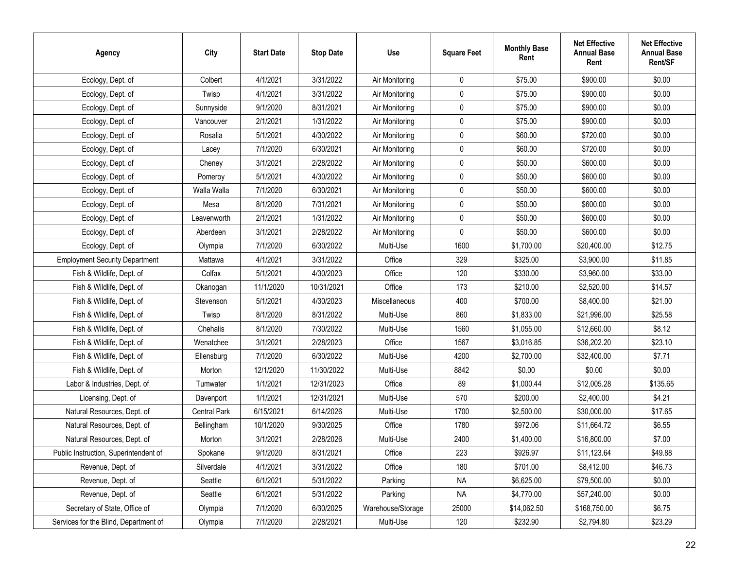| <b>Agency</b>                         | City         | <b>Start Date</b> | <b>Stop Date</b> | Use               | <b>Square Feet</b> | <b>Monthly Base</b><br>Rent | <b>Net Effective</b><br><b>Annual Base</b><br>Rent | <b>Net Effective</b><br><b>Annual Base</b><br>Rent/SF |
|---------------------------------------|--------------|-------------------|------------------|-------------------|--------------------|-----------------------------|----------------------------------------------------|-------------------------------------------------------|
| Ecology, Dept. of                     | Colbert      | 4/1/2021          | 3/31/2022        | Air Monitoring    | $\mathbf 0$        | \$75.00                     | \$900.00                                           | \$0.00                                                |
| Ecology, Dept. of                     | Twisp        | 4/1/2021          | 3/31/2022        | Air Monitoring    | 0                  | \$75.00                     | \$900.00                                           | \$0.00                                                |
| Ecology, Dept. of                     | Sunnyside    | 9/1/2020          | 8/31/2021        | Air Monitoring    | 0                  | \$75.00                     | \$900.00                                           | \$0.00                                                |
| Ecology, Dept. of                     | Vancouver    | 2/1/2021          | 1/31/2022        | Air Monitoring    | 0                  | \$75.00                     | \$900.00                                           | \$0.00                                                |
| Ecology, Dept. of                     | Rosalia      | 5/1/2021          | 4/30/2022        | Air Monitoring    | 0                  | \$60.00                     | \$720.00                                           | \$0.00                                                |
| Ecology, Dept. of                     | Lacey        | 7/1/2020          | 6/30/2021        | Air Monitoring    | 0                  | \$60.00                     | \$720.00                                           | \$0.00                                                |
| Ecology, Dept. of                     | Cheney       | 3/1/2021          | 2/28/2022        | Air Monitoring    | $\pmb{0}$          | \$50.00                     | \$600.00                                           | \$0.00                                                |
| Ecology, Dept. of                     | Pomeroy      | 5/1/2021          | 4/30/2022        | Air Monitoring    | 0                  | \$50.00                     | \$600.00                                           | \$0.00                                                |
| Ecology, Dept. of                     | Walla Walla  | 7/1/2020          | 6/30/2021        | Air Monitoring    | 0                  | \$50.00                     | \$600.00                                           | \$0.00                                                |
| Ecology, Dept. of                     | Mesa         | 8/1/2020          | 7/31/2021        | Air Monitoring    | 0                  | \$50.00                     | \$600.00                                           | \$0.00                                                |
| Ecology, Dept. of                     | Leavenworth  | 2/1/2021          | 1/31/2022        | Air Monitoring    | 0                  | \$50.00                     | \$600.00                                           | \$0.00                                                |
| Ecology, Dept. of                     | Aberdeen     | 3/1/2021          | 2/28/2022        | Air Monitoring    | 0                  | \$50.00                     | \$600.00                                           | \$0.00                                                |
| Ecology, Dept. of                     | Olympia      | 7/1/2020          | 6/30/2022        | Multi-Use         | 1600               | \$1,700.00                  | \$20,400.00                                        | \$12.75                                               |
| <b>Employment Security Department</b> | Mattawa      | 4/1/2021          | 3/31/2022        | Office            | 329                | \$325.00                    | \$3,900.00                                         | \$11.85                                               |
| Fish & Wildlife, Dept. of             | Colfax       | 5/1/2021          | 4/30/2023        | Office            | 120                | \$330.00                    | \$3,960.00                                         | \$33.00                                               |
| Fish & Wildlife, Dept. of             | Okanogan     | 11/1/2020         | 10/31/2021       | Office            | 173                | \$210.00                    | \$2,520.00                                         | \$14.57                                               |
| Fish & Wildlife, Dept. of             | Stevenson    | 5/1/2021          | 4/30/2023        | Miscellaneous     | 400                | \$700.00                    | \$8,400.00                                         | \$21.00                                               |
| Fish & Wildlife, Dept. of             | Twisp        | 8/1/2020          | 8/31/2022        | Multi-Use         | 860                | \$1,833.00                  | \$21,996.00                                        | \$25.58                                               |
| Fish & Wildlife, Dept. of             | Chehalis     | 8/1/2020          | 7/30/2022        | Multi-Use         | 1560               | \$1,055.00                  | \$12,660.00                                        | \$8.12                                                |
| Fish & Wildlife, Dept. of             | Wenatchee    | 3/1/2021          | 2/28/2023        | Office            | 1567               | \$3,016.85                  | \$36,202.20                                        | \$23.10                                               |
| Fish & Wildlife, Dept. of             | Ellensburg   | 7/1/2020          | 6/30/2022        | Multi-Use         | 4200               | \$2,700.00                  | \$32,400.00                                        | \$7.71                                                |
| Fish & Wildlife, Dept. of             | Morton       | 12/1/2020         | 11/30/2022       | Multi-Use         | 8842               | \$0.00                      | \$0.00                                             | \$0.00                                                |
| Labor & Industries, Dept. of          | Tumwater     | 1/1/2021          | 12/31/2023       | Office            | 89                 | \$1,000.44                  | \$12,005.28                                        | \$135.65                                              |
| Licensing, Dept. of                   | Davenport    | 1/1/2021          | 12/31/2021       | Multi-Use         | 570                | \$200.00                    | \$2,400.00                                         | \$4.21                                                |
| Natural Resources, Dept. of           | Central Park | 6/15/2021         | 6/14/2026        | Multi-Use         | 1700               | \$2,500.00                  | \$30,000.00                                        | \$17.65                                               |
| Natural Resources, Dept. of           | Bellingham   | 10/1/2020         | 9/30/2025        | Office            | 1780               | \$972.06                    | \$11,664.72                                        | \$6.55                                                |
| Natural Resources, Dept. of           | Morton       | 3/1/2021          | 2/28/2026        | Multi-Use         | 2400               | \$1,400.00                  | \$16,800.00                                        | \$7.00                                                |
| Public Instruction, Superintendent of | Spokane      | 9/1/2020          | 8/31/2021        | Office            | 223                | \$926.97                    | \$11,123.64                                        | \$49.88                                               |
| Revenue, Dept. of                     | Silverdale   | 4/1/2021          | 3/31/2022        | Office            | 180                | \$701.00                    | \$8,412.00                                         | \$46.73                                               |
| Revenue, Dept. of                     | Seattle      | 6/1/2021          | 5/31/2022        | Parking           | <b>NA</b>          | \$6,625.00                  | \$79,500.00                                        | \$0.00                                                |
| Revenue, Dept. of                     | Seattle      | 6/1/2021          | 5/31/2022        | Parking           | <b>NA</b>          | \$4,770.00                  | \$57,240.00                                        | \$0.00                                                |
| Secretary of State, Office of         | Olympia      | 7/1/2020          | 6/30/2025        | Warehouse/Storage | 25000              | \$14,062.50                 | \$168,750.00                                       | \$6.75                                                |
| Services for the Blind, Department of | Olympia      | 7/1/2020          | 2/28/2021        | Multi-Use         | 120                | \$232.90                    | \$2,794.80                                         | \$23.29                                               |